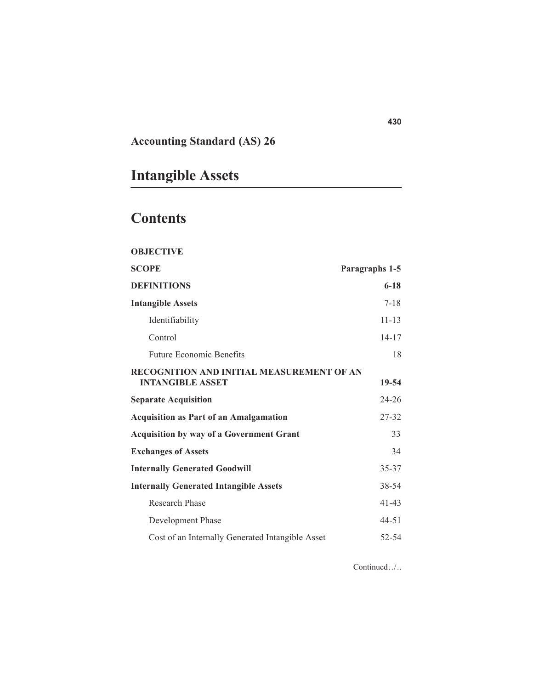# **Accounting Standard (AS) 26**

# **Intangible Assets**

# **Contents**

| <b>OBJECTIVE</b> |  |
|------------------|--|
|------------------|--|

| Paragraphs 1-5                            |
|-------------------------------------------|
| $6 - 18$                                  |
| $7 - 18$                                  |
| $11 - 13$                                 |
| $14 - 17$                                 |
| 18                                        |
| RECOGNITION AND INITIAL MEASUREMENT OF AN |
| 19-54                                     |
| $24 - 26$                                 |
| 27-32                                     |
| 33                                        |
| 34                                        |
| 35-37                                     |
| 38-54                                     |
| $41 - 43$                                 |
| 44-51                                     |
| 52-54                                     |
|                                           |

Continued../. .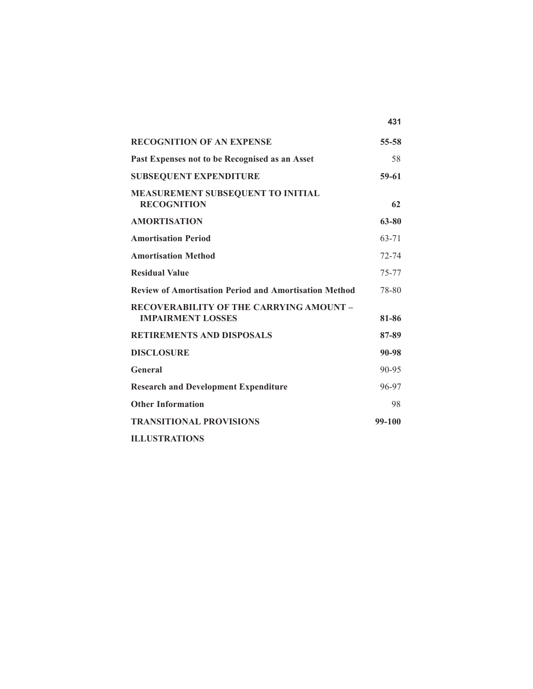|                                                                            | 431       |
|----------------------------------------------------------------------------|-----------|
| <b>RECOGNITION OF AN EXPENSE</b>                                           | 55-58     |
| Past Expenses not to be Recognised as an Asset                             | 58        |
| <b>SUBSEQUENT EXPENDITURE</b>                                              | 59-61     |
| MEASUREMENT SUBSEQUENT TO INITIAL<br><b>RECOGNITION</b>                    | 62        |
| <b>AMORTISATION</b>                                                        | 63-80     |
| <b>Amortisation Period</b>                                                 | 63-71     |
| <b>Amortisation Method</b>                                                 | $72 - 74$ |
| <b>Residual Value</b>                                                      | 75-77     |
| <b>Review of Amortisation Period and Amortisation Method</b>               | 78-80     |
| <b>RECOVERABILITY OF THE CARRYING AMOUNT -</b><br><b>IMPAIRMENT LOSSES</b> | 81-86     |
| <b>RETIREMENTS AND DISPOSALS</b>                                           | 87-89     |
| <b>DISCLOSURE</b>                                                          | 90-98     |
| General                                                                    | $90 - 95$ |
| <b>Research and Development Expenditure</b>                                | 96-97     |
| <b>Other Information</b>                                                   | 98        |
| <b>TRANSITIONAL PROVISIONS</b>                                             | 99-100    |
| <b>ILLUSTRATIONS</b>                                                       |           |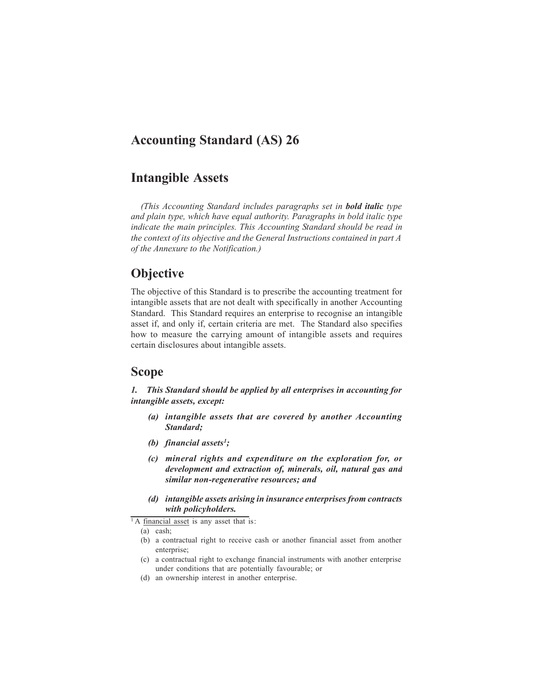# **Accounting Standard (AS) 26**

# **Intangible Assets**

*(This Accounting Standard includes paragraphs set in bold italic type and plain type, which have equal authority. Paragraphs in bold italic type indicate the main principles. This Accounting Standard should be read in the context of its objective and the General Instructions contained in part A of the Annexure to the Notification.)*

# **Objective**

The objective of this Standard is to prescribe the accounting treatment for intangible assets that are not dealt with specifically in another Accounting Standard. This Standard requires an enterprise to recognise an intangible asset if, and only if, certain criteria are met. The Standard also specifies how to measure the carrying amount of intangible assets and requires certain disclosures about intangible assets.

# **Scope**

*1. This Standard should be applied by all enterprises in accounting for intangible assets, except:*

- *(a) intangible assets that are covered by another Accounting Standard;*
- *(b) financial assets1;*
- *(c) mineral rights and expenditure on the exploration for, or development and extraction of, minerals, oil, natural gas and similar non-regenerative resources; and*
- *(d) intangible assets arising in insurance enterprisesfrom contracts with policyholders.*

- (c) a contractual right to exchange financial instruments with another enterprise under conditions that are potentially favourable; or
- (d) an ownership interest in another enterprise.

 $\overline{1}$  A financial asset is any asset that is:

<sup>(</sup>a) cash;

<sup>(</sup>b) a contractual right to receive cash or another financial asset from another enterprise;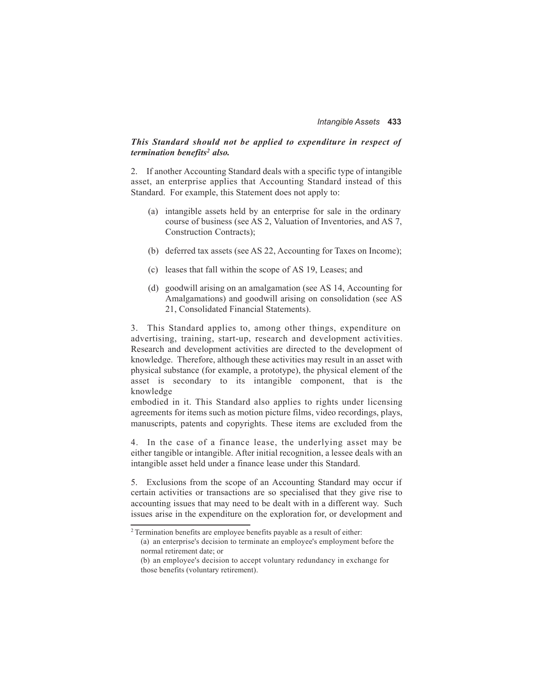#### *This Standard should not be applied to expenditure in respect of termination benefits2 also.*

2. If another Accounting Standard deals with a specific type of intangible asset, an enterprise applies that Accounting Standard instead of this Standard. For example, this Statement does not apply to:

- (a) intangible assets held by an enterprise for sale in the ordinary course of business (see AS 2, Valuation of Inventories, and AS 7, Construction Contracts);
- (b) deferred tax assets (see AS 22, Accounting for Taxes on Income);
- (c) leases that fall within the scope of AS 19, Leases; and
- (d) goodwill arising on an amalgamation (see AS 14, Accounting for Amalgamations) and goodwill arising on consolidation (see AS 21, Consolidated Financial Statements).

3. This Standard applies to, among other things, expenditure on advertising, training, start-up, research and development activities. Research and development activities are directed to the development of knowledge. Therefore, although these activities may result in an asset with physical substance (for example, a prototype), the physical element of the asset is secondary to its intangible component, that is the knowledge

embodied in it. This Standard also applies to rights under licensing agreements for items such as motion picture films, video recordings, plays, manuscripts, patents and copyrights. These items are excluded from the

4 . In the case of a finance lease, the underlying asset may be either tangible or intangible. After initial recognition, a lessee deals with an intangible asset held under a finance lease under this Standard.

5. Exclusions from the scope of an Accounting Standard may occur if certain activities or transactions are so specialised that they give rise to accounting issues that may need to be dealt with in a different way. Such issues arise in the expenditure on the exploration for, or development and

<sup>2</sup> Termination benefits are employee benefits payable as a result of either:

<sup>(</sup>a) an enterprise's decision to terminate an employee's employment before the normal retirement date; or

<sup>(</sup>b) an employee's decision to accept voluntary redundancy in exchange for those benefits (voluntary retirement).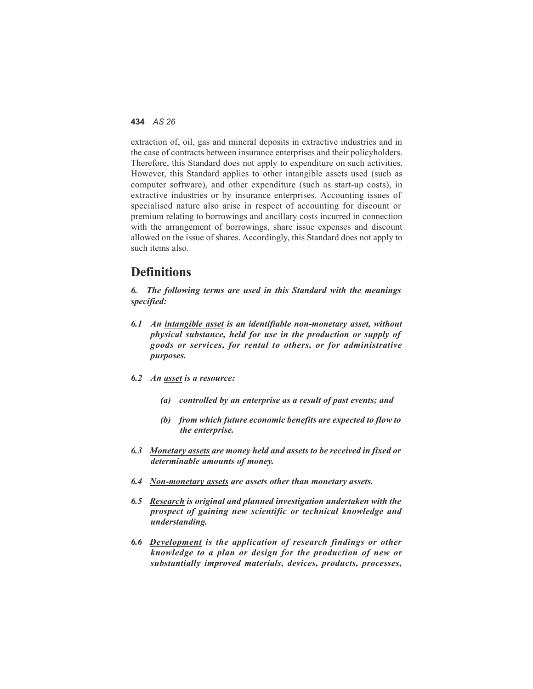extraction of, oil, gas and mineral deposits in extractive industries and in the case of contracts between insurance enterprises and their policyholders. Therefore, this Standard does not apply to expenditure on such activities. However, this Standard applies to other intangible assets used (such as computer software), and other expenditure (such as start-up costs), in extractive industries or by insurance enterprises. Accounting issues of specialised nature also arise in respect of accounting for discount or premium relating to borrowings and ancillary costs incurred in connection with the arrangement of borrowings, share issue expenses and discount allowed on the issue of shares. Accordingly, this Standard does not apply to such items also.

### **Definitions**

*6. The following terms are used in this Standard with the meanings specified:*

- *6.1 An intangible asset is an identifiable non-monetary asset, without physical substance, held for use in the production or supply of goods or services, for rental to others, or for administrative purposes.*
- *6.2 An asset is a resource:*
	- *(a) controlled by an enterprise as a result of past events; and*
	- *(b) from which future economic benefits are expected to flow to the enterprise.*
- *6.3 Monetary assets are money held and assets to be received in fixed or determinable amounts of money.*
- *6.4 Non-monetary assets are assets other than monetary assets.*
- *6.5 Research is original and planned investigation undertaken with the prospect of gaining new scientific or technical knowledge and understanding.*
- *6.6 Development is the application of research findings or other knowledge to a plan or design for the production of new or substantially improved materials, devices, products, processes,*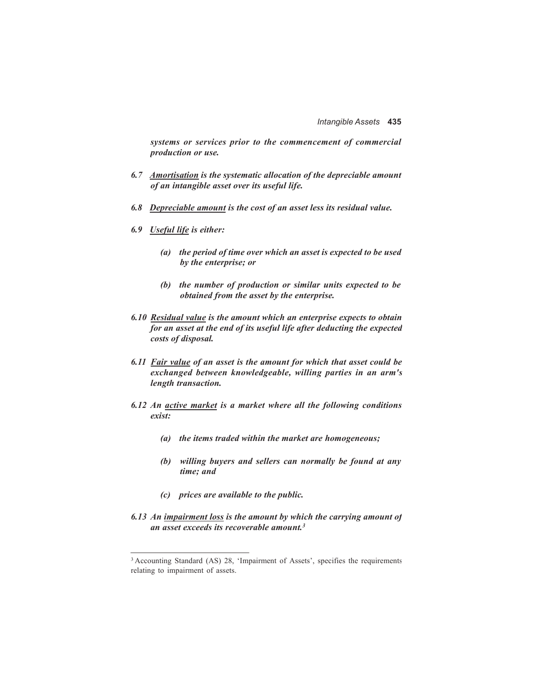*systems or services prior to the commencement of commercial production or use.*

- *6.7 Amortisation is the systematic allocation of the depreciable amount of an intangible asset over its useful life.*
- *6.8 Depreciable amount is the cost of an asset less its residual value.*
- *6.9 Useful life is either:*
	- *(a) the period of time over which an asset is expected to be used by the enterprise; or*
	- *(b) the number of production or similar units expected to be obtained from the asset by the enterprise.*
- *6.10 Residual value is the amount which an enterprise expects to obtain for an asset at the end of its useful life after deducting the expected costs of disposal.*
- *6.11 Fair value of an asset is the amount for which that asset could be exchanged between knowledgeable, willing parties in an arm's length transaction.*
- *6.12 An active market is a market where all the following conditions exist:*
	- *(a) the items traded within the market are homogeneous;*
	- *(b) willing buyers and sellers can normally be found at any time; and*
	- *(c) prices are available to the public.*
- *6.13 An impairment loss is the amount by which the carrying amount of an asset exceeds its recoverable amount.3*

<sup>&</sup>lt;sup>3</sup> Accounting Standard (AS) 28, 'Impairment of Assets', specifies the requirements relating to impairment of assets.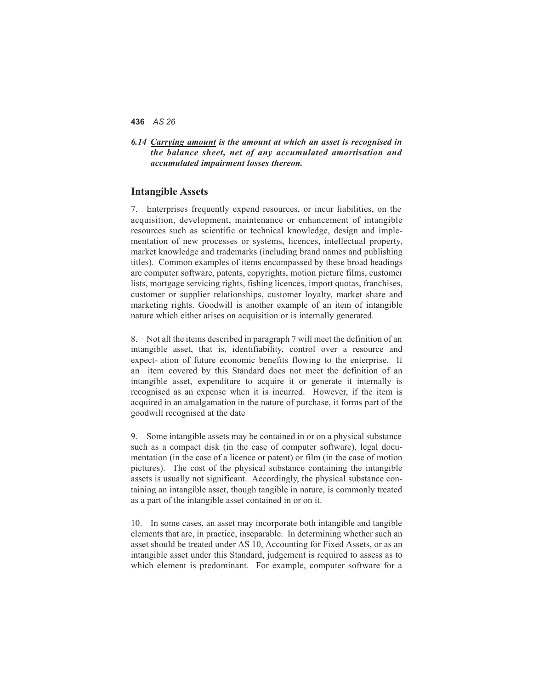*6.14 Carrying amount is the amount at which an asset is recognised in the balance sheet, net of any accumulated amortisation and accumulated impairment losses thereon.*

#### **Intangible Assets**

7. Enterprises frequently expend resources, or incur liabilities, on the acquisition, development, maintenance or enhancement of intangible resources such as scientific or technical knowledge, design and implementation of new processes or systems, licences, intellectual property, market knowledge and trademarks (including brand names and publishing titles). Common examples of items encompassed by these broad headings are computer software, patents, copyrights, motion picture films, customer lists, mortgage servicing rights, fishing licences, import quotas, franchises, customer or supplier relationships, customer loyalty, market share and marketing rights. Goodwill is another example of an item of intangible nature which either arises on acquisition or is internally generated.

8. Not all the items described in paragraph 7 will meet the definition of an intangible asset, that is, identifiability, control over a resource and expect- ation of future economic benefits flowing to the enterprise. If an item covered by this Standard does not meet the definition of an intangible asset, expenditure to acquire it or generate it internally is recognised as an expense when it is incurred. However, if the item is acquired in an amalgamation in the nature of purchase, it forms part of the goodwill recognised at the date

9. Some intangible assets may be contained in or on a physical substance such as a compact disk (in the case of computer software), legal documentation (in the case of a licence or patent) or film (in the case of motion pictures). The cost of the physical substance containing the intangible assets is usually not significant. Accordingly, the physical substance containing an intangible asset, though tangible in nature, is commonly treated as a part of the intangible asset contained in or on it.

10. In some cases, an asset may incorporate both intangible and tangible elements that are, in practice, inseparable. In determining whether such an asset should be treated under AS 10, Accounting for Fixed Assets, or as an intangible asset under this Standard, judgement is required to assess as to which element is predominant. For example, computer software for a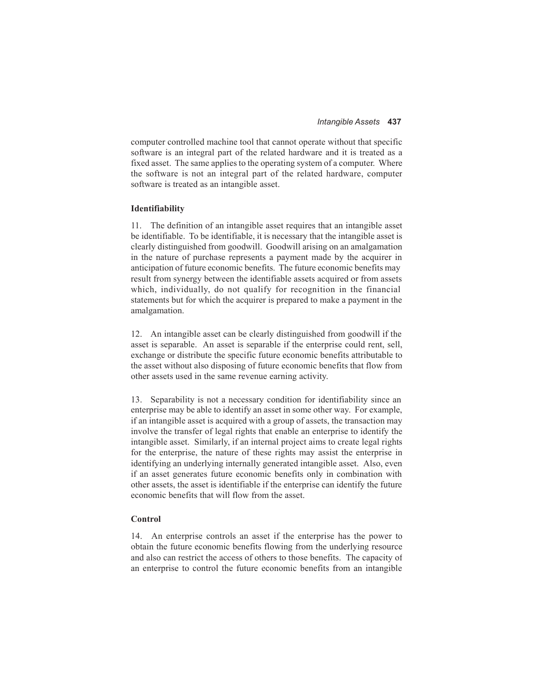computer controlled machine tool that cannot operate without that specific software is an integral part of the related hardware and it is treated as a fixed asset. The same applies to the operating system of a computer. Where the software is not an integral part of the related hardware, computer software is treated as an intangible asset.

#### **Identifiability**

11. The definition of an intangible asset requires that an intangible asset be identifiable. To be identifiable, it is necessary that the intangible asset is clearly distinguished from goodwill. Goodwill arising on an amalgamation in the nature of purchase represents a payment made by the acquirer in anticipation of future economic benefits. The future economic benefits may result from synergy between the identifiable assets acquired or from assets which, individually, do not qualify for recognition in the financial statements but for which the acquirer is prepared to make a payment in the amalgamation.

12. An intangible asset can be clearly distinguished from goodwill if the asset is separable. An asset is separable if the enterprise could rent, sell, exchange or distribute the specific future economic benefits attributable to the asset without also disposing of future economic benefits that flow from other assets used in the same revenue earning activity.

13. Separability is not a necessary condition for identifiability since an enterprise may be able to identify an asset in some other way. For example, if an intangible asset is acquired with a group of assets, the transaction may involve the transfer of legal rights that enable an enterprise to identify the intangible asset. Similarly, if an internal project aims to create legal rights for the enterprise, the nature of these rights may assist the enterprise in identifying an underlying internally generated intangible asset. Also, even if an asset generates future economic benefits only in combination with other assets, the asset is identifiable if the enterprise can identify the future economic benefits that will flow from the asset.

#### **Control**

14. An enterprise controls an asset if the enterprise has the power to obtain the future economic benefits flowing from the underlying resource and also can restrict the access of others to those benefits. The capacity of an enterprise to control the future economic benefits from an intangible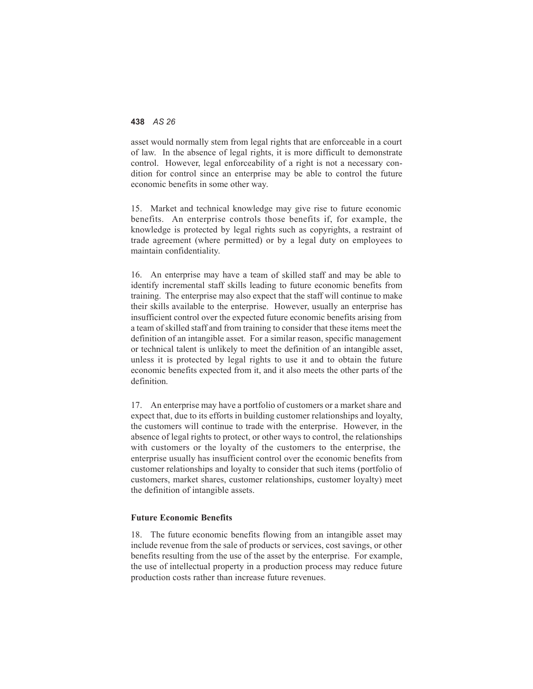asset would normally stem from legal rights that are enforceable in a court of law. In the absence of legal rights, it is more difficult to demonstrate control. However, legal enforceability of a right is not a necessary condition for control since an enterprise may be able to control the future economic benefits in some other way.

15. Market and technical knowledge may give rise to future economic benefits. An enterprise controls those benefits if, for example, the knowledge is protected by legal rights such as copyrights, a restraint of trade agreement (where permitted) or by a legal duty on employees to maintain confidentiality.

16. An enterprise may have a team of skilled staff and may be able to identify incremental staff skills leading to future economic benefits from training. The enterprise may also expect that the staff will continue to make their skills available to the enterprise. However, usually an enterprise has insufficient control over the expected future economic benefits arising from a team of skilled staff and from training to consider that these items meet the definition of an intangible asset. For a similar reason, specific management or technical talent is unlikely to meet the definition of an intangible asset, unless it is protected by legal rights to use it and to obtain the future economic benefits expected from it, and it also meets the other parts of the definition.

17. An enterprise may have a portfolio of customers or a market share and expect that, due to its efforts in building customer relationships and loyalty, the customers will continue to trade with the enterprise. However, in the absence of legal rights to protect, or other ways to control, the relationships with customers or the loyalty of the customers to the enterprise, the enterprise usually has insufficient control over the economic benefits from customer relationships and loyalty to consider that such items (portfolio of customers, market shares, customer relationships, customer loyalty) meet the definition of intangible assets.

#### **Future Economic Benefits**

18. The future economic benefits flowing from an intangible asset may include revenue from the sale of products or services, cost savings, or other benefits resulting from the use of the asset by the enterprise. For example, the use of intellectual property in a production process may reduce future production costs rather than increase future revenues.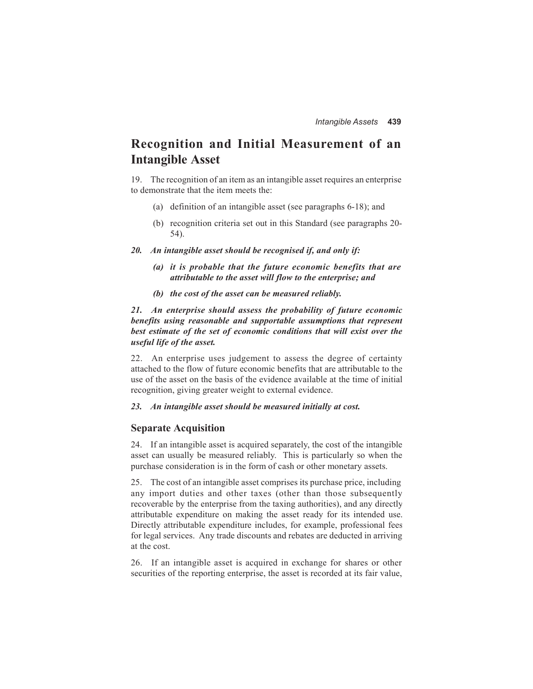# **Recognition and Initial Measurement of an Intangible Asset**

19. The recognition of an item as an intangible asset requires an enterprise to demonstrate that the item meets the:

- (a) definition of an intangible asset (see paragraphs 6-18); and
- (b) recognition criteria set out in this Standard (see paragraphs 20- 54).
- *20. An intangible asset should be recognised if, and only if:*
	- *(a) it is probable that the future economic benefits that are attributable to the asset will flow to the enterprise; and*
	- *(b) the cost of the asset can be measured reliably.*

*21. An enterprise should assess the probability of future economic benefits using reasonable and supportable assumptions that represent best estimate of the set of economic conditions that will exist over the useful life of the asset.*

22. An enterprise uses judgement to assess the degree of certainty attached to the flow of future economic benefits that are attributable to the use of the asset on the basis of the evidence available at the time of initial recognition, giving greater weight to external evidence.

#### *23. An intangible asset should be measured initially at cost.*

#### **Separate Acquisition**

24. If an intangible asset is acquired separately, the cost of the intangible asset can usually be measured reliably. This is particularly so when the purchase consideration is in the form of cash or other monetary assets.

25. The cost of an intangible asset comprises its purchase price, including any import duties and other taxes (other than those subsequently recoverable by the enterprise from the taxing authorities), and any directly attributable expenditure on making the asset ready for its intended use. Directly attributable expenditure includes, for example, professional fees for legal services. Any trade discounts and rebates are deducted in arriving at the cost.

26. If an intangible asset is acquired in exchange for shares or other securities of the reporting enterprise, the asset is recorded at its fair value,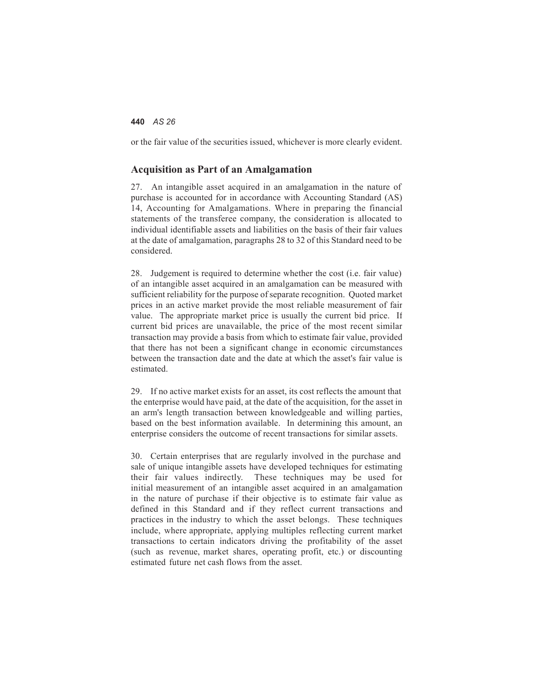or the fair value of the securities issued, whichever is more clearly evident.

#### **Acquisition as Part of an Amalgamation**

27. An intangible asset acquired in an amalgamation in the nature of purchase is accounted for in accordance with Accounting Standard (AS) 14, Accounting for Amalgamations. Where in preparing the financial statements of the transferee company, the consideration is allocated to individual identifiable assets and liabilities on the basis of their fair values at the date of amalgamation, paragraphs 28 to 32 of this Standard need to be considered.

28. Judgement is required to determine whether the cost (i.e. fair value) of an intangible asset acquired in an amalgamation can be measured with sufficient reliability for the purpose of separate recognition. Quoted market prices in an active market provide the most reliable measurement of fair value. The appropriate market price is usually the current bid price. If current bid prices are unavailable, the price of the most recent similar transaction may provide a basis from which to estimate fair value, provided that there has not been a significant change in economic circumstances between the transaction date and the date at which the asset's fair value is estimated.

29. If no active market exists for an asset, its cost reflects the amount that the enterprise would have paid, at the date of the acquisition, for the asset in an arm's length transaction between knowledgeable and willing parties, based on the best information available. In determining this amount, an enterprise considers the outcome of recent transactions for similar assets.

30. Certain enterprises that are regularly involved in the purchase and sale of unique intangible assets have developed techniques for estimating their fair values indirectly. These techniques may be used for initial measurement of an intangible asset acquired in an amalgamation in the nature of purchase if their objective is to estimate fair value as defined in this Standard and if they reflect current transactions and practices in the industry to which the asset belongs. These techniques include, where appropriate, applying multiples reflecting current market transactions to certain indicators driving the profitability of the asset (such as revenue, market shares, operating profit, etc.) or discounting estimated future net cash flows from the asset.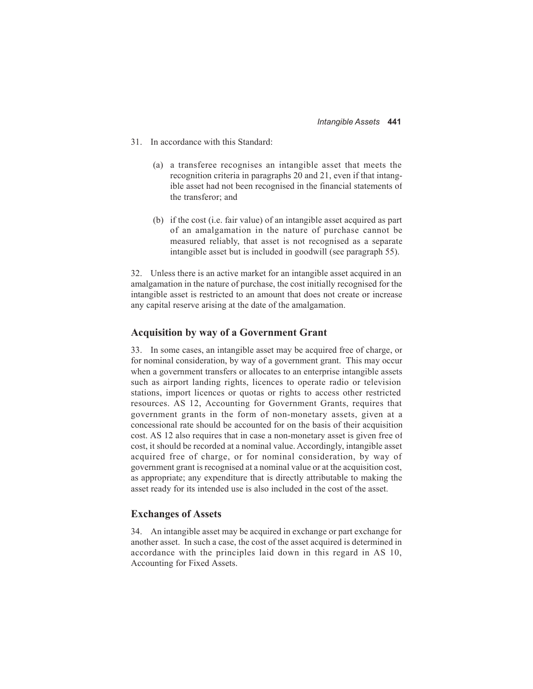- 31. In accordance with this Standard:
	- (a) a transferee recognises an intangible asset that meets the recognition criteria in paragraphs 20 and 21, even if that intangible asset had not been recognised in the financial statements of the transferor; and
	- (b) if the cost (i.e. fair value) of an intangible asset acquired as part of an amalgamation in the nature of purchase cannot be measured reliably, that asset is not recognised as a separate intangible asset but is included in goodwill (see paragraph 55).

32. Unless there is an active market for an intangible asset acquired in an amalgamation in the nature of purchase, the cost initially recognised for the intangible asset is restricted to an amount that does not create or increase any capital reserve arising at the date of the amalgamation.

#### **Acquisition by way of a Government Grant**

33. In some cases, an intangible asset may be acquired free of charge, or for nominal consideration, by way of a government grant. This may occur when a government transfers or allocates to an enterprise intangible assets such as airport landing rights, licences to operate radio or television stations, import licences or quotas or rights to access other restricted resources. AS 12, Accounting for Government Grants, requires that government grants in the form of non-monetary assets, given at a concessional rate should be accounted for on the basis of their acquisition cost. AS 12 also requires that in case a non-monetary asset is given free of cost, it should be recorded at a nominal value. Accordingly, intangible asset acquired free of charge, or for nominal consideration, by way of government grant is recognised at a nominal value or at the acquisition cost, as appropriate; any expenditure that is directly attributable to making the asset ready for its intended use is also included in the cost of the asset.

#### **Exchanges of Assets**

34. An intangible asset may be acquired in exchange or part exchange for another asset. In such a case, the cost of the asset acquired is determined in accordance with the principles laid down in this regard in AS 10, Accounting for Fixed Assets.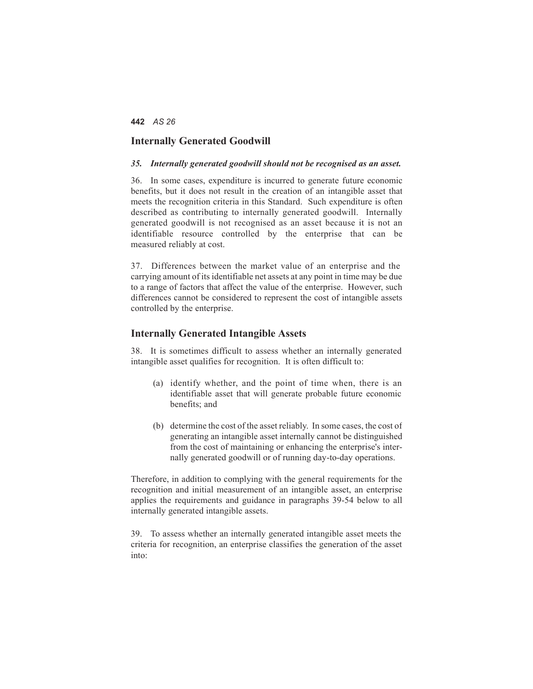#### **Internally Generated Goodwill**

#### *35. Internally generated goodwill should not be recognised as an asset.*

36. In some cases, expenditure is incurred to generate future economic benefits, but it does not result in the creation of an intangible asset that meets the recognition criteria in this Standard. Such expenditure is often described as contributing to internally generated goodwill. Internally generated goodwill is not recognised as an asset because it is not an identifiable resource controlled by the enterprise that can be measured reliably at cost.

37. Differences between the market value of an enterprise and the carrying amount of its identifiable net assets at any point in time may be due to a range of factors that affect the value of the enterprise. However, such differences cannot be considered to represent the cost of intangible assets controlled by the enterprise.

#### **Internally Generated Intangible Assets**

38. It is sometimes difficult to assess whether an internally generated intangible asset qualifies for recognition. It is often difficult to:

- (a) identify whether, and the point of time when, there is an identifiable asset that will generate probable future economic benefits; and
- (b) determine the cost of the asset reliably. In some cases, the cost of generating an intangible asset internally cannot be distinguished from the cost of maintaining or enhancing the enterprise's internally generated goodwill or of running day-to-day operations.

Therefore, in addition to complying with the general requirements for the recognition and initial measurement of an intangible asset, an enterprise applies the requirements and guidance in paragraphs 39-54 below to all internally generated intangible assets.

39. To assess whether an internally generated intangible asset meets the criteria for recognition, an enterprise classifies the generation of the asset into: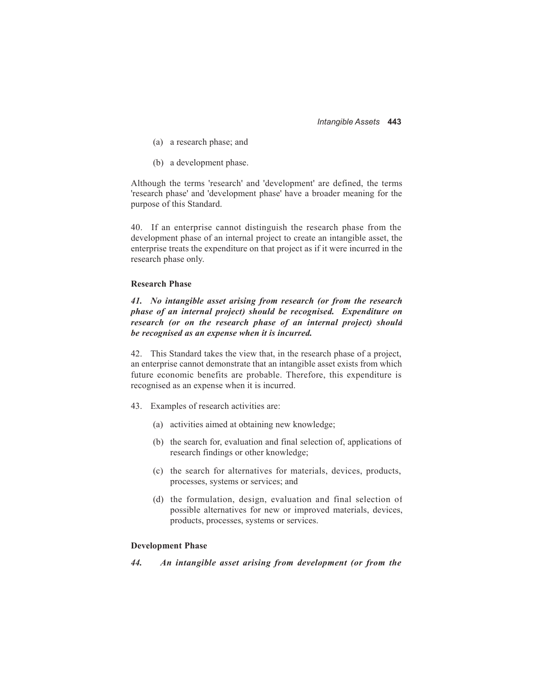*Intangible Assets* **443**

- (a) a research phase; and
- (b) a development phase.

Although the terms 'research' and 'development' are defined, the terms 'research phase' and 'development phase' have a broader meaning for the purpose of this Standard.

40. If an enterprise cannot distinguish the research phase from the development phase of an internal project to create an intangible asset, the enterprise treats the expenditure on that project as if it were incurred in the research phase only.

#### **Research Phase**

*41. No intangible asset arising from research (or from the research phase of an internal project) should be recognised. Expenditure on research (or on the research phase of an internal project) should be recognised as an expense when it is incurred.*

42. This Standard takes the view that, in the research phase of a project, an enterprise cannot demonstrate that an intangible asset exists from which future economic benefits are probable. Therefore, this expenditure is recognised as an expense when it is incurred.

- 43. Examples of research activities are:
	- (a) activities aimed at obtaining new knowledge;
	- (b) the search for, evaluation and final selection of, applications of research findings or other knowledge;
	- (c) the search for alternatives for materials, devices, products, processes, systems or services; and
	- (d) the formulation, design, evaluation and final selection of possible alternatives for new or improved materials, devices, products, processes, systems or services.

#### **Development Phase**

*44. An intangible asset arising from development (or from the*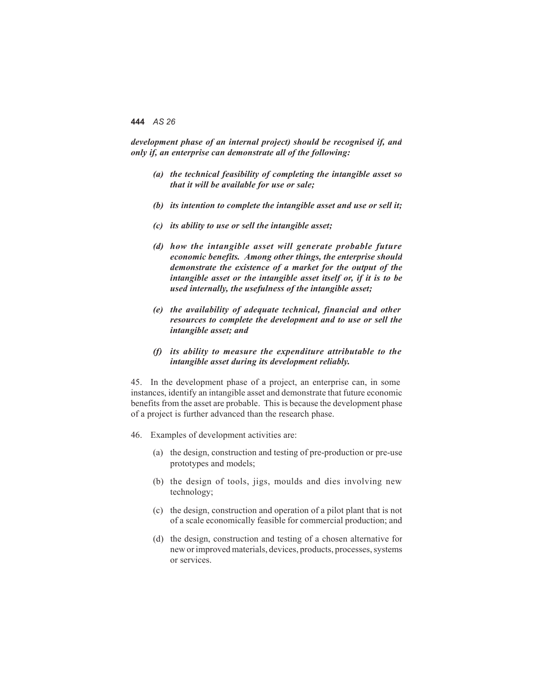*development phase of an internal project) should be recognised if, and only if, an enterprise can demonstrate all of the following:*

- *(a) the technical feasibility of completing the intangible asset so that it will be available for use or sale;*
- *(b) its intention to complete the intangible asset and use or sell it;*
- *(c) its ability to use or sell the intangible asset;*
- *(d) how the intangible asset will generate probable future economic benefits. Among other things, the enterprise should demonstrate the existence of a market for the output of the intangible asset or the intangible asset itself or, if it is to be used internally, the usefulness of the intangible asset;*
- *(e) the availability of adequate technical, financial and other resources to complete the development and to use or sell the intangible asset; and*
- *(f) its ability to measure the expenditure attributable to the intangible asset during its development reliably.*

45. In the development phase of a project, an enterprise can, in some instances, identify an intangible asset and demonstrate that future economic benefits from the asset are probable. This is because the development phase of a project is further advanced than the research phase.

- 46. Examples of development activities are:
	- (a) the design, construction and testing of pre-production or pre-use prototypes and models;
	- (b) the design of tools, jigs, moulds and dies involving new technology;
	- (c) the design, construction and operation of a pilot plant that is not of a scale economically feasible for commercial production; and
	- (d) the design, construction and testing of a chosen alternative for new or improved materials, devices, products, processes, systems or services.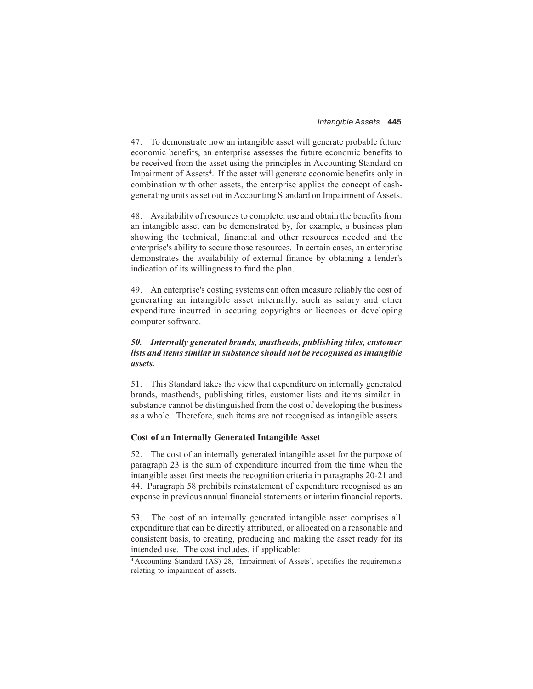47. To demonstrate how an intangible asset will generate probable future economic benefits, an enterprise assesses the future economic benefits to be received from the asset using the principles in Accounting Standard on Impairment of Assets<sup>4</sup>. If the asset will generate economic benefits only in combination with other assets, the enterprise applies the concept of cashgenerating units as set out in Accounting Standard on Impairment of Assets.

48. Availability of resources to complete, use and obtain the benefits from an intangible asset can be demonstrated by, for example, a business plan showing the technical, financial and other resources needed and the enterprise's ability to secure those resources. In certain cases, an enterprise demonstrates the availability of external finance by obtaining a lender's indication of its willingness to fund the plan.

49. An enterprise's costing systems can often measure reliably the cost of generating an intangible asset internally, such as salary and other expenditure incurred in securing copyrights or licences or developing computer software.

#### *50. Internally generated brands, mastheads, publishing titles, customer lists and items similar in substance should not be recognised as intangible assets.*

51. This Standard takes the view that expenditure on internally generated brands, mastheads, publishing titles, customer lists and items similar in substance cannot be distinguished from the cost of developing the business as a whole. Therefore, such items are not recognised as intangible assets.

#### **Cost of an Internally Generated Intangible Asset**

52. The cost of an internally generated intangible asset for the purpose of paragraph 23 is the sum of expenditure incurred from the time when the intangible asset first meets the recognition criteria in paragraphs 20-21 and 44. Paragraph 58 prohibits reinstatement of expenditure recognised as an expense in previous annual financial statements or interim financial reports.

53. The cost of an internally generated intangible asset comprises all expenditure that can be directly attributed, or allocated on a reasonable and consistent basis, to creating, producing and making the asset ready for its intended use. The cost includes, if applicable:

<sup>&</sup>lt;sup>4</sup> Accounting Standard (AS) 28, 'Impairment of Assets', specifies the requirements relating to impairment of assets.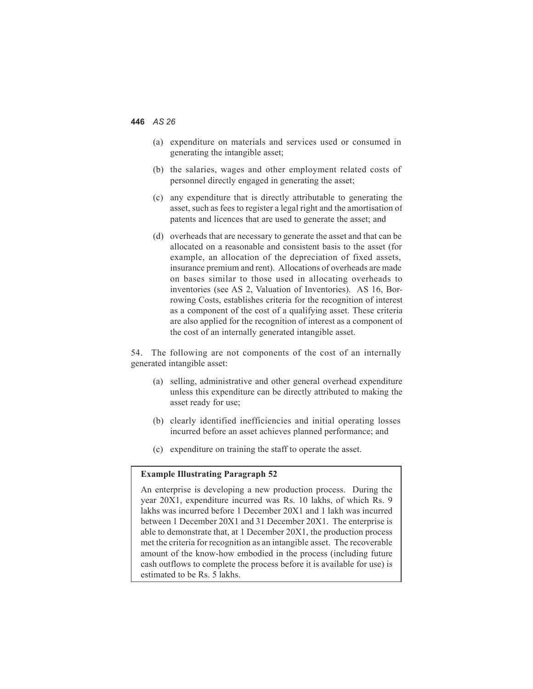- (a) expenditure on materials and services used or consumed in generating the intangible asset;
- (b) the salaries, wages and other employment related costs of personnel directly engaged in generating the asset;
- (c) any expenditure that is directly attributable to generating the asset, such as fees to register a legal right and the amortisation of patents and licences that are used to generate the asset; and
- (d) overheads that are necessary to generate the asset and that can be allocated on a reasonable and consistent basis to the asset (for example, an allocation of the depreciation of fixed assets, insurance premium and rent). Allocations of overheads are made on bases similar to those used in allocating overheads to inventories (see AS 2, Valuation of Inventories). AS 16, Borrowing Costs, establishes criteria for the recognition of interest as a component of the cost of a qualifying asset. These criteria are also applied for the recognition of interest as a component of the cost of an internally generated intangible asset.

54. The following are not components of the cost of an internally generated intangible asset:

- (a) selling, administrative and other general overhead expenditure unless this expenditure can be directly attributed to making the asset ready for use;
- (b) clearly identified inefficiencies and initial operating losses incurred before an asset achieves planned performance; and
- (c) expenditure on training the staff to operate the asset.

#### **Example Illustrating Paragraph 52**

An enterprise is developing a new production process. During the year 20X1, expenditure incurred was Rs. 10 lakhs, of which Rs. 9 lakhs was incurred before 1 December 20X1 and 1 lakh was incurred between 1 December 20X1 and 31 December 20X1. The enterprise is able to demonstrate that, at 1 December 20X1, the production process met the criteria for recognition as an intangible asset. The recoverable amount of the know-how embodied in the process (including future cash outflows to complete the process before it is available for use) is estimated to be Rs. 5 lakhs.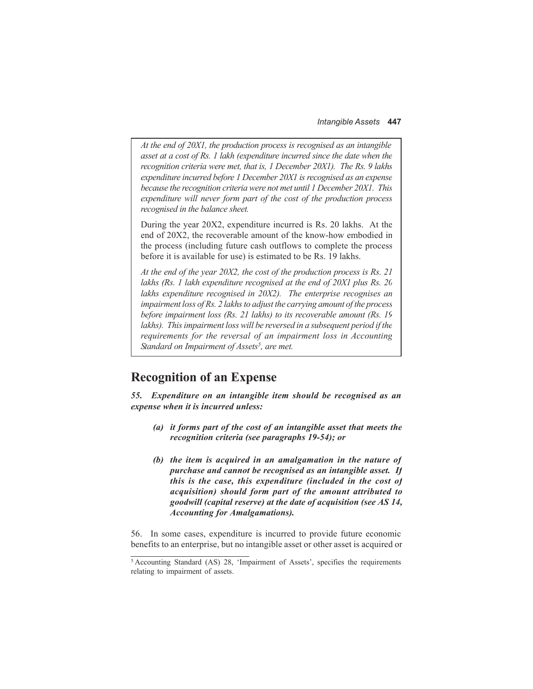*At the end of 20X1, the production process is recognised as an intangible asset at a cost of Rs. 1 lakh (expenditure incurred since the date when the recognition criteria were met, that is, 1 December 20X1). The Rs. 9 lakhs expenditure incurred before 1 December 20X1 is recognised as an expense because the recognition criteria were not met until 1 December 20X1. This expenditure will never form part of the cost of the production process recognised in the balance sheet.*

During the year 20X2, expenditure incurred is Rs. 20 lakhs. At the end of 20X2, the recoverable amount of the know-how embodied in the process (including future cash outflows to complete the process before it is available for use) is estimated to be Rs. 19 lakhs.

*At the end of the year 20X2, the cost of the production process is Rs. 21 lakhs (Rs. 1 lakh expenditure recognised at the end of 20X1 plus Rs. 20 lakhs expenditure recognised in 20X2). The enterprise recognises an impairment loss of Rs. 2 lakhs to adjust the carrying amount of the process before impairment loss (Rs. 21 lakhs) to its recoverable amount (Rs. 19 lakhs). This impairment loss will be reversed in a subsequent period if the requirements for the reversal of an impairment loss in Accounting* Standard on Impairment of Assets<sup>5</sup>, are met.

# **Recognition of an Expense**

*55. Expenditure on an intangible item should be recognised as an expense when it is incurred unless:*

- *(a) it forms part of the cost of an intangible asset that meets the recognition criteria (see paragraphs 19-54); or*
- *(b) the item is acquired in an amalgamation in the nature of purchase and cannot be recognised as an intangible asset. If this is the case, this expenditure (included in the cost of acquisition) should form part of the amount attributed to goodwill (capital reserve) at the date of acquisition (see AS 14, Accounting for Amalgamations).*

56. In some cases, expenditure is incurred to provide future economic benefits to an enterprise, but no intangible asset or other asset is acquired or

<sup>5</sup> Accounting Standard (AS) 28, 'Impairment of Assets', specifies the requirements relating to impairment of assets.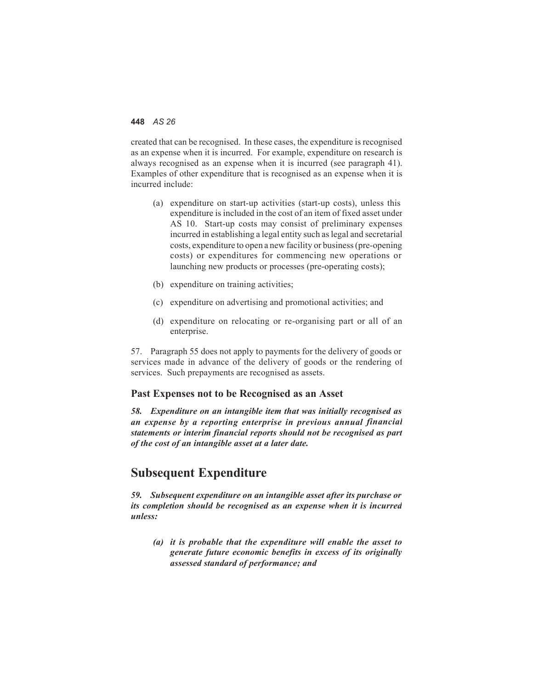created that can be recognised. In these cases, the expenditure is recognised as an expense when it is incurred. For example, expenditure on research is always recognised as an expense when it is incurred (see paragraph 41). Examples of other expenditure that is recognised as an expense when it is incurred include:

- (a) expenditure on start-up activities (start-up costs), unless this expenditure is included in the cost of an item of fixed asset under AS 10. Start-up costs may consist of preliminary expenses incurred in establishing a legal entity such as legal and secretarial costs, expenditure to open a new facility or business (pre-opening costs) or expenditures for commencing new operations or launching new products or processes (pre-operating costs);
- (b) expenditure on training activities;
- (c) expenditure on advertising and promotional activities; and
- (d) expenditure on relocating or re-organising part or all of an enterprise.

57. Paragraph 55 does not apply to payments for the delivery of goods or services made in advance of the delivery of goods or the rendering of services. Such prepayments are recognised as assets.

#### **Past Expenses not to be Recognised as an Asset**

*58. Expenditure on an intangible item that was initially recognised as an expense by a reporting enterprise in previous annual financial statements or interim financial reports should not be recognised as part of the cost of an intangible asset at a later date.*

# **Subsequent Expenditure**

*59. Subsequent expenditure on an intangible asset after its purchase or its completion should be recognised as an expense when it is incurred unless:*

*(a) it is probable that the expenditure will enable the asset to generate future economic benefits in excess of its originally assessed standard of performance; and*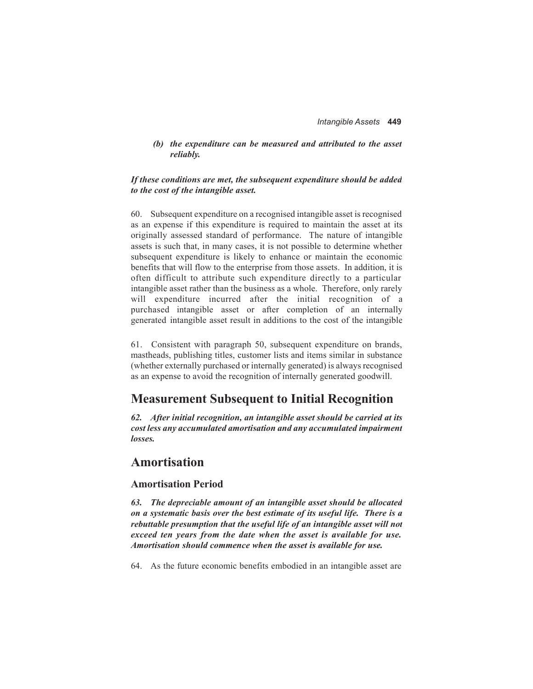#### *(b) the expenditure can be measured and attributed to the asset reliably.*

#### *If these conditions are met, the subsequent expenditure should be added to the cost of the intangible asset.*

60. Subsequent expenditure on a recognised intangible asset is recognised as an expense if this expenditure is required to maintain the asset at its originally assessed standard of performance. The nature of intangible assets is such that, in many cases, it is not possible to determine whether subsequent expenditure is likely to enhance or maintain the economic benefits that will flow to the enterprise from those assets. In addition, it is often difficult to attribute such expenditure directly to a particular intangible asset rather than the business as a whole. Therefore, only rarely will expenditure incurred after the initial recognition of a purchased intangible asset or after completion of an internally generated intangible asset result in additions to the cost of the intangible

61. Consistent with paragraph 50, subsequent expenditure on brands, mastheads, publishing titles, customer lists and items similar in substance (whether externally purchased or internally generated) is always recognised as an expense to avoid the recognition of internally generated goodwill.

# **Measurement Subsequent to Initial Recognition**

*62. After initial recognition, an intangible asset should be carried at its cost less any accumulated amortisation and any accumulated impairment losses.*

### **Amortisation**

#### **Amortisation Period**

*63. The depreciable amount of an intangible asset should be allocated on a systematic basis over the best estimate of its useful life. There is a rebuttable presumption that the useful life of an intangible asset will not exceed ten years from the date when the asset is available for use. Amortisation should commence when the asset is available for use.*

64. As the future economic benefits embodied in an intangible asset are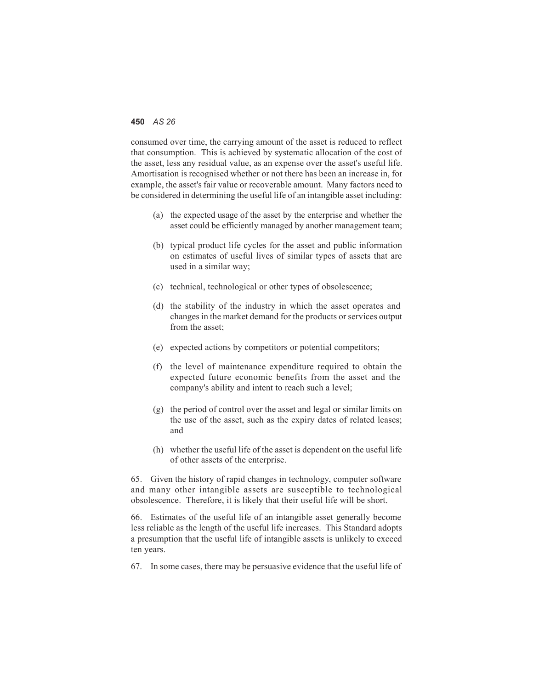consumed over time, the carrying amount of the asset is reduced to reflect that consumption. This is achieved by systematic allocation of the cost of the asset, less any residual value, as an expense over the asset's useful life. Amortisation is recognised whether or not there has been an increase in, for example, the asset's fair value or recoverable amount. Many factors need to be considered in determining the useful life of an intangible asset including:

- (a) the expected usage of the asset by the enterprise and whether the asset could be efficiently managed by another management team;
- (b) typical product life cycles for the asset and public information on estimates of useful lives of similar types of assets that are used in a similar way;
- (c) technical, technological or other types of obsolescence;
- (d) the stability of the industry in which the asset operates and changes in the market demand for the products or services output from the asset;
- (e) expected actions by competitors or potential competitors;
- (f) the level of maintenance expenditure required to obtain the expected future economic benefits from the asset and the company's ability and intent to reach such a level;
- (g) the period of control over the asset and legal or similar limits on the use of the asset, such as the expiry dates of related leases; and
- (h) whether the useful life of the asset is dependent on the useful life of other assets of the enterprise.

65. Given the history of rapid changes in technology, computer software and many other intangible assets are susceptible to technological obsolescence. Therefore, it is likely that their useful life will be short.

66. Estimates of the useful life of an intangible asset generally become less reliable as the length of the useful life increases. This Standard adopts a presumption that the useful life of intangible assets is unlikely to exceed ten years.

67. In some cases, there may be persuasive evidence that the useful life of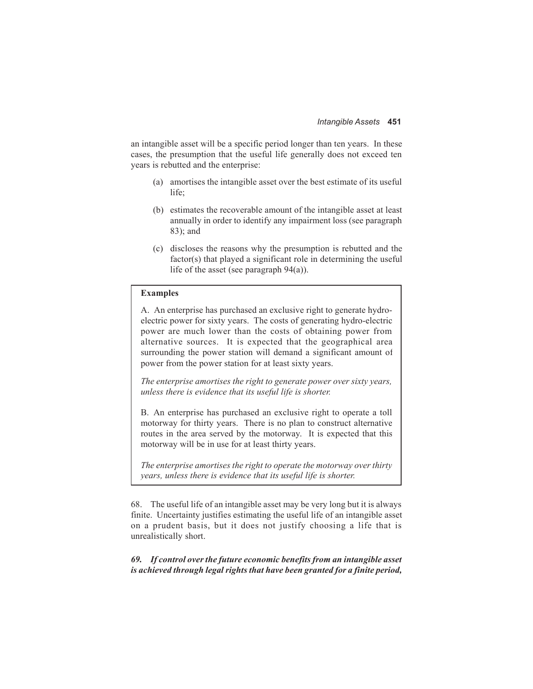an intangible asset will be a specific period longer than ten years. In these cases, the presumption that the useful life generally does not exceed ten years is rebutted and the enterprise:

- (a) amortises the intangible asset over the best estimate of its useful life;
- (b) estimates the recoverable amount of the intangible asset at least annually in order to identify any impairment loss (see paragraph 83); and
- (c) discloses the reasons why the presumption is rebutted and the factor(s) that played a significant role in determining the useful life of the asset (see paragraph 94(a)).

#### **Examples**

A. An enterprise has purchased an exclusive right to generate hydroelectric power for sixty years. The costs of generating hydro-electric power are much lower than the costs of obtaining power from alternative sources. It is expected that the geographical area surrounding the power station will demand a significant amount of power from the power station for at least sixty years.

*The enterprise amortises the right to generate power over sixty years, unless there is evidence that its useful life is shorter.*

B. An enterprise has purchased an exclusive right to operate a toll motorway for thirty years. There is no plan to construct alternative routes in the area served by the motorway. It is expected that this motorway will be in use for at least thirty years.

*The enterprise amortises the right to operate the motorway over thirty years, unless there is evidence that its useful life is shorter.*

68. The useful life of an intangible asset may be very long but it is always finite. Uncertainty justifies estimating the useful life of an intangible asset on a prudent basis, but it does not justify choosing a life that is unrealistically short.

*69. If control over the future economic benefits from an intangible asset is achieved through legal rights that have been granted for a finite period,*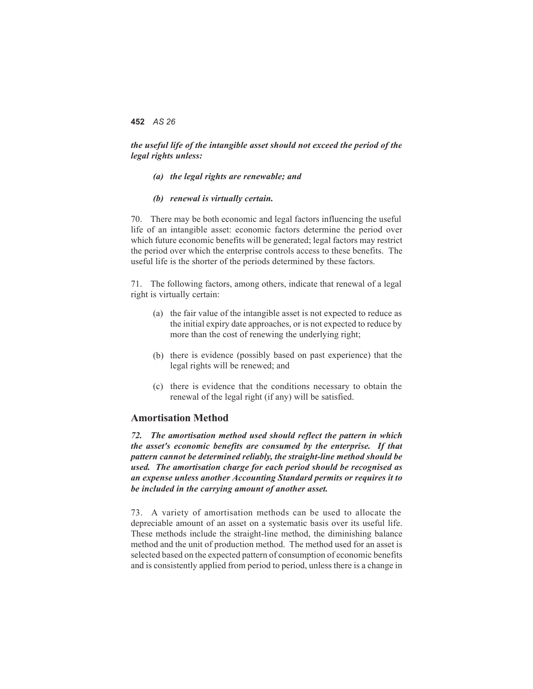#### *the useful life of the intangible asset should not exceed the period of the legal rights unless:*

- *(a) the legal rights are renewable; and*
- *(b) renewal is virtually certain.*

70. There may be both economic and legal factors influencing the useful life of an intangible asset: economic factors determine the period over which future economic benefits will be generated; legal factors may restrict the period over which the enterprise controls access to these benefits. The useful life is the shorter of the periods determined by these factors.

71. The following factors, among others, indicate that renewal of a legal right is virtually certain:

- (a) the fair value of the intangible asset is not expected to reduce as the initial expiry date approaches, or is not expected to reduce by more than the cost of renewing the underlying right;
- (b) there is evidence (possibly based on past experience) that the legal rights will be renewed; and
- (c) there is evidence that the conditions necessary to obtain the renewal of the legal right (if any) will be satisfied.

#### **Amortisation Method**

*72. The amortisation method used should reflect the pattern in which the asset's economic benefits are consumed by the enterprise. If that pattern cannot be determined reliably, the straight-line method should be used. The amortisation charge for each period should be recognised as an expense unless another Accounting Standard permits or requires it to be included in the carrying amount of another asset.*

73. A variety of amortisation methods can be used to allocate the depreciable amount of an asset on a systematic basis over its useful life. These methods include the straight-line method, the diminishing balance method and the unit of production method. The method used for an asset is selected based on the expected pattern of consumption of economic benefits and is consistently applied from period to period, unless there is a change in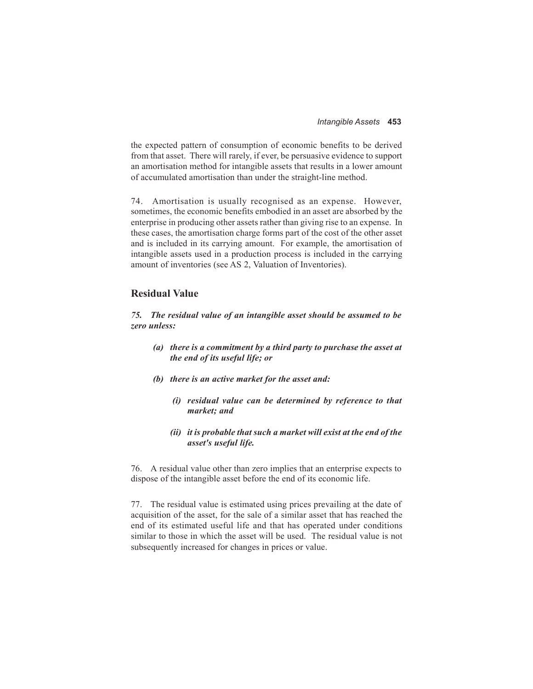the expected pattern of consumption of economic benefits to be derived from that asset. There will rarely, if ever, be persuasive evidence to support an amortisation method for intangible assets that results in a lower amount of accumulated amortisation than under the straight-line method.

74. Amortisation is usually recognised as an expense. However, sometimes, the economic benefits embodied in an asset are absorbed by the enterprise in producing other assets rather than giving rise to an expense. In these cases, the amortisation charge forms part of the cost of the other asset and is included in its carrying amount. For example, the amortisation of intangible assets used in a production process is included in the carrying amount of inventories (see AS 2, Valuation of Inventories).

#### **Residual Value**

*75. The residual value of an intangible asset should be assumed to be zero unless:*

- *(a) there is a commitment by a third party to purchase the asset at the end of its useful life; or*
- *(b) there is an active market for the asset and:*
	- *(i) residual value can be determined by reference to that market; and*
	- *(ii) it is probable that such a market will exist at the end of the asset's useful life.*

76. A residual value other than zero implies that an enterprise expects to dispose of the intangible asset before the end of its economic life.

77. The residual value is estimated using prices prevailing at the date of acquisition of the asset, for the sale of a similar asset that has reached the end of its estimated useful life and that has operated under conditions similar to those in which the asset will be used. The residual value is not subsequently increased for changes in prices or value.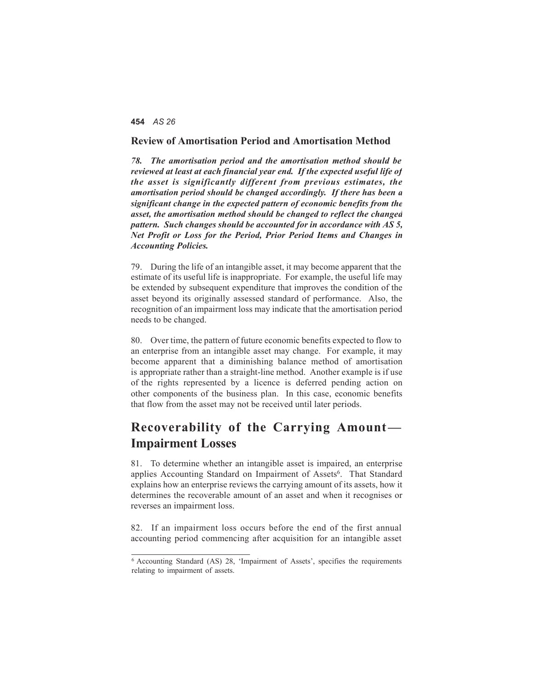#### **Review of Amortisation Period and Amortisation Method**

*78. The amortisation period and the amortisation method should be reviewed at least at each financial year end. If the expected useful life of the asset is significantly different from previous estimates, the amortisation period should be changed accordingly. If there has been a significant change in the expected pattern of economic benefits from the asset, the amortisation method should be changed to reflect the changed pattern. Such changes should be accounted for in accordance with AS 5, Net Profit or Loss for the Period, Prior Period Items and Changes in Accounting Policies.*

79. During the life of an intangible asset, it may become apparent that the estimate of its useful life is inappropriate. For example, the useful life may be extended by subsequent expenditure that improves the condition of the asset beyond its originally assessed standard of performance. Also, the recognition of an impairment loss may indicate that the amortisation period needs to be changed.

80. Over time, the pattern of future economic benefits expected to flow to an enterprise from an intangible asset may change. For example, it may become apparent that a diminishing balance method of amortisation is appropriate rather than a straight-line method. Another example is if use of the rights represented by a licence is deferred pending action on other components of the business plan. In this case, economic benefits that flow from the asset may not be received until later periods.

# **Recoverability of the Carrying Amount — Impairment Losses**

81. To determine whether an intangible asset is impaired, an enterprise applies Accounting Standard on Impairment of Assets<sup>6</sup>. That Standard explains how an enterprise reviews the carrying amount of its assets, how it determines the recoverable amount of an asset and when it recognises or reverses an impairment loss.

82. If an impairment loss occurs before the end of the first annual accounting period commencing after acquisition for an intangible asset

<sup>6</sup> Accounting Standard (AS) 28, 'Impairment of Assets', specifies the requirements relating to impairment of assets.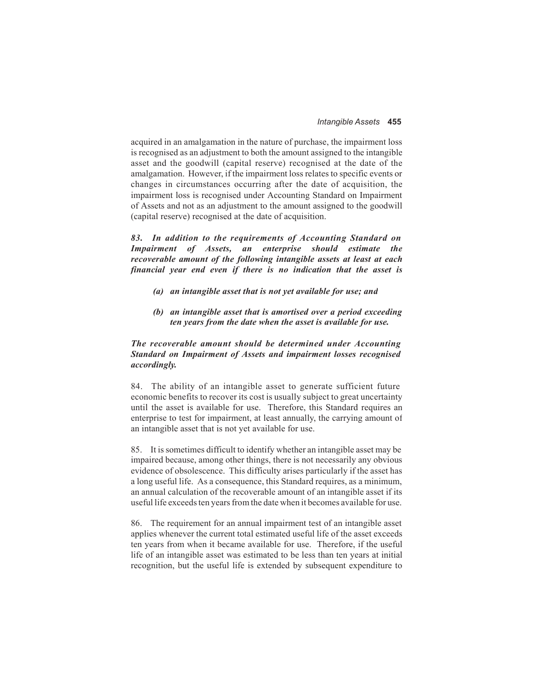acquired in an amalgamation in the nature of purchase, the impairment loss is recognised as an adjustment to both the amount assigned to the intangible asset and the goodwill (capital reserve) recognised at the date of the amalgamation. However, if the impairment loss relates to specific events or changes in circumstances occurring after the date of acquisition, the impairment loss is recognised under Accounting Standard on Impairment of Assets and not as an adjustment to the amount assigned to the goodwill (capital reserve) recognised at the date of acquisition.

*83. In addition to the requirements of Accounting Standard on Impairment of Assets, an enterprise should estimate the recoverable amount of the following intangible assets at least at each financial year end even if there is no indication that the asset is*

- *(a) an intangible asset that is not yet available for use; and*
- *(b) an intangible asset that is amortised over a period exceeding ten years from the date when the asset is available for use.*

#### *The recoverable amount should be determined under Accounting Standard on Impairment of Assets and impairment losses recognised accordingly.*

84. The ability of an intangible asset to generate sufficient future economic benefits to recover its cost is usually subject to great uncertainty until the asset is available for use. Therefore, this Standard requires an enterprise to test for impairment, at least annually, the carrying amount of an intangible asset that is not yet available for use.

85. It is sometimes difficult to identify whether an intangible asset may be impaired because, among other things, there is not necessarily any obvious evidence of obsolescence. This difficulty arises particularly if the asset has a long useful life. As a consequence, this Standard requires, as a minimum, an annual calculation of the recoverable amount of an intangible asset if its useful life exceeds ten years from the date when it becomes available for use.

86. The requirement for an annual impairment test of an intangible asset applies whenever the current total estimated useful life of the asset exceeds ten years from when it became available for use. Therefore, if the useful life of an intangible asset was estimated to be less than ten years at initial recognition, but the useful life is extended by subsequent expenditure to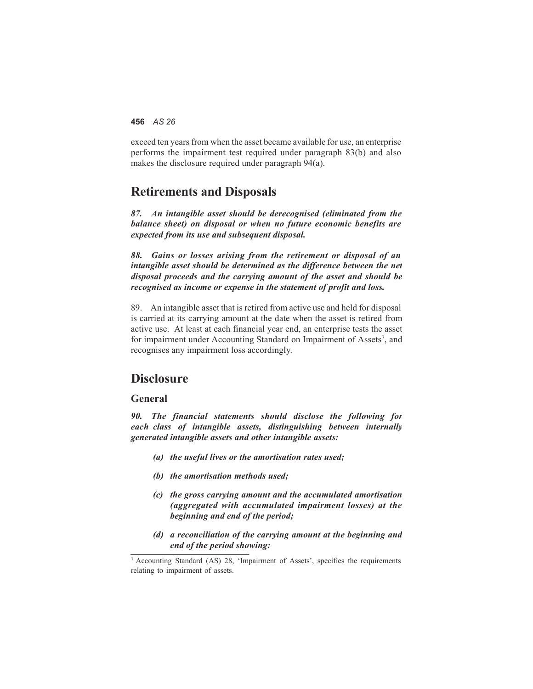exceed ten years from when the asset became available for use, an enterprise performs the impairment test required under paragraph 83(b) and also makes the disclosure required under paragraph 94(a).

### **Retirements and Disposals**

*87. An intangible asset should be derecognised (eliminated from the balance sheet) on disposal or when no future economic benefits are expected from its use and subsequent disposal.*

*88. Gains or losses arising from the retirement or disposal of an intangible asset should be determined as the difference between the net disposal proceeds and the carrying amount of the asset and should be recognised as income or expense in the statement of profit and loss.*

89. An intangible asset that is retired from active use and held for disposal is carried at its carrying amount at the date when the asset is retired from active use. At least at each financial year end, an enterprise tests the asset for impairment under Accounting Standard on Impairment of Assets<sup>7</sup>, and recognises any impairment loss accordingly.

### **Disclosure**

#### **General**

*90. The financial statements should disclose the following for each class of intangible assets, distinguishing between internally generated intangible assets and other intangible assets:*

- *(a) the useful lives or the amortisation rates used;*
- *(b) the amortisation methods used;*
- *(c) the gross carrying amount and the accumulated amortisation (aggregated with accumulated impairment losses) at the beginning and end of the period;*
- *(d) a reconciliation of the carrying amount at the beginning and end of the period showing:*

<sup>7</sup> Accounting Standard (AS) 28, 'Impairment of Assets', specifies the requirements relating to impairment of assets.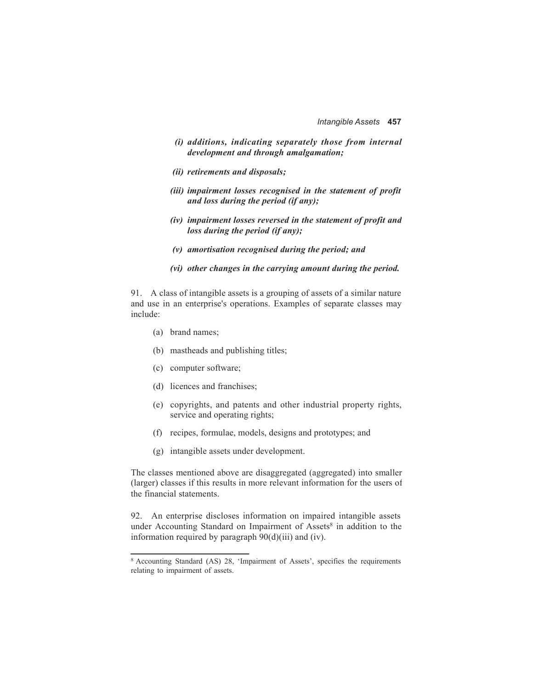- *(i) additions, indicating separately those from internal development and through amalgamation;*
- *(ii) retirements and disposals;*
- *(iii) impairment losses recognised in the statement of profit and loss during the period (if any);*
- *(iv) impairment losses reversed in the statement of profit and loss during the period (if any);*
- *(v) amortisation recognised during the period; and*
- *(vi) other changes in the carrying amount during the period.*

91. A class of intangible assets is a grouping of assets of a similar nature and use in an enterprise's operations. Examples of separate classes may include:

- (a) brand names;
- (b) mastheads and publishing titles;
- (c) computer software;
- (d) licences and franchises;
- (e) copyrights, and patents and other industrial property rights, service and operating rights;
- (f) recipes, formulae, models, designs and prototypes; and
- (g) intangible assets under development.

The classes mentioned above are disaggregated (aggregated) into smaller (larger) classes if this results in more relevant information for the users of the financial statements.

92. An enterprise discloses information on impaired intangible assets under Accounting Standard on Impairment of Assets<sup>8</sup> in addition to the information required by paragraph 90(d)(iii) and (iv).

<sup>8</sup> Accounting Standard (AS) 28, 'Impairment of Assets', specifies the requirements relating to impairment of assets.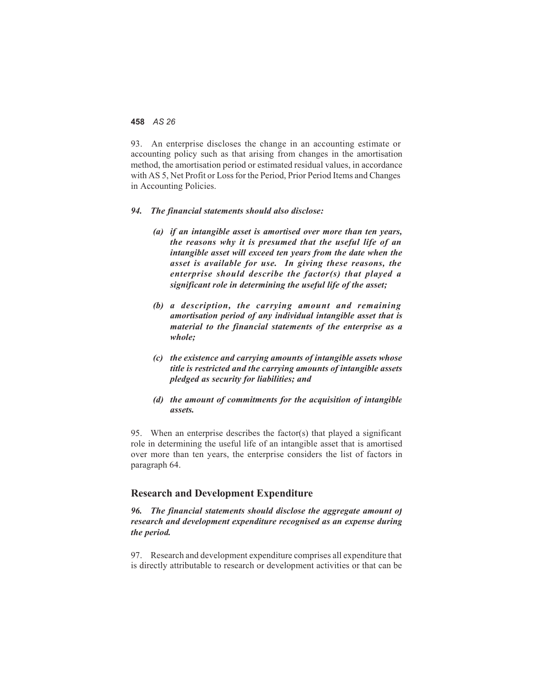93. An enterprise discloses the change in an accounting estimate or accounting policy such as that arising from changes in the amortisation method, the amortisation period or estimated residual values, in accordance with AS 5, Net Profit or Loss for the Period, Prior Period Items and Changes in Accounting Policies.

#### *94. The financial statements should also disclose:*

- *(a) if an intangible asset is amortised over more than ten years, the reasons why it is presumed that the useful life of an intangible asset will exceed ten years from the date when the asset is available for use. In giving these reasons, the enterprise should describe the factor(s) that played a significant role in determining the useful life of the asset;*
- *(b) a description, the carrying amount and remaining amortisation period of any individual intangible asset that is material to the financial statements of the enterprise as a whole;*
- *(c) the existence and carrying amounts of intangible assets whose title is restricted and the carrying amounts of intangible assets pledged as security for liabilities; and*
- *(d) the amount of commitments for the acquisition of intangible assets.*

95. When an enterprise describes the factor(s) that played a significant role in determining the useful life of an intangible asset that is amortised over more than ten years, the enterprise considers the list of factors in paragraph 64.

#### **Research and Development Expenditure**

*96. The financial statements should disclose the aggregate amount of research and development expenditure recognised as an expense during the period.*

97. Research and development expenditure comprises all expenditure that is directly attributable to research or development activities or that can be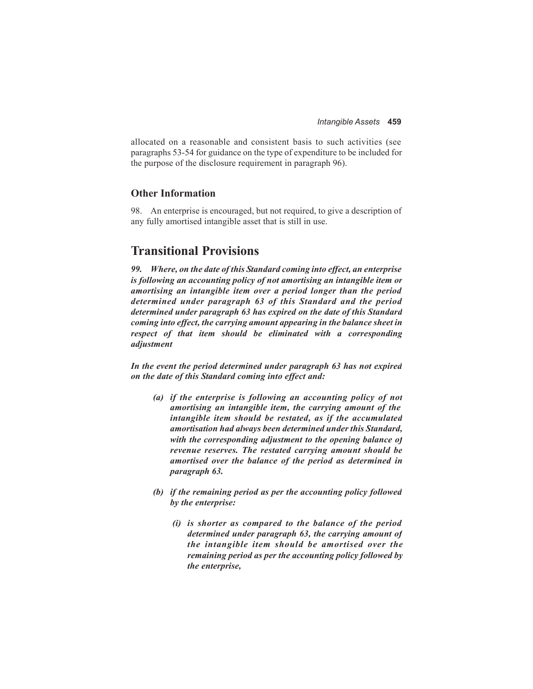allocated on a reasonable and consistent basis to such activities (see paragraphs 53-54 for guidance on the type of expenditure to be included for the purpose of the disclosure requirement in paragraph 96).

#### **Other Information**

98. An enterprise is encouraged, but not required, to give a description of any fully amortised intangible asset that is still in use.

# **Transitional Provisions**

*99. Where, on the date of this Standard coming into effect, an enterprise is following an accounting policy of not amortising an intangible item or amortising an intangible item over a period longer than the period determined under paragraph 63 of this Standard and the period determined under paragraph 63 has expired on the date of this Standard coming into effect, the carrying amount appearing in the balance sheet in respect of that item should be eliminated with a corresponding adjustment*

*In the event the period determined under paragraph 63 has not expired on the date of this Standard coming into effect and:*

- *(a) if the enterprise is following an accounting policy of not amortising an intangible item, the carrying amount of the intangible item should be restated, as if the accumulated amortisation had always been determined under this Standard, with the corresponding adjustment to the opening balance of revenue reserves. The restated carrying amount should be amortised over the balance of the period as determined in paragraph 63.*
- *(b) if the remaining period as per the accounting policy followed by the enterprise:*
	- *(i) is shorter as compared to the balance of the period determined under paragraph 63, the carrying amount of the intangible item should be amortised over the remaining period as per the accounting policy followed by the enterprise,*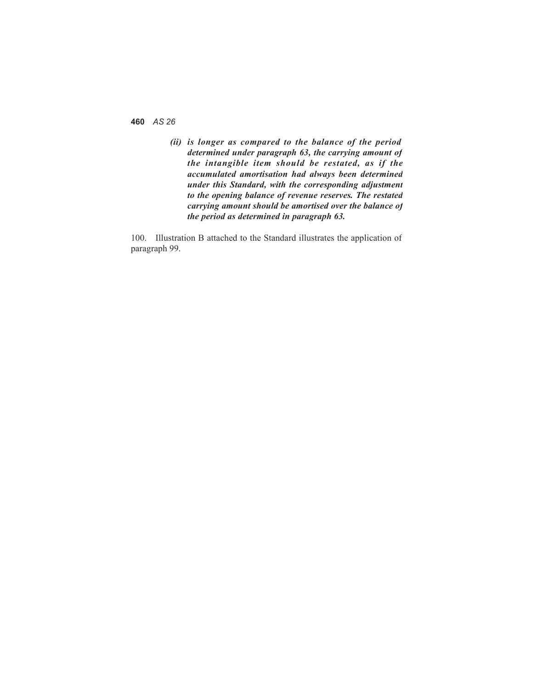*(ii) is longer as compared to the balance of the period determined under paragraph 63, the carrying amount of the intangible item should be restated, as if the accumulated amortisation had always been determined under this Standard, with the corresponding adjustment to the opening balance of revenue reserves. The restated carrying amount should be amortised over the balance of the period as determined in paragraph 63.*

100. Illustration B attached to the Standard illustrates the application of paragraph 99.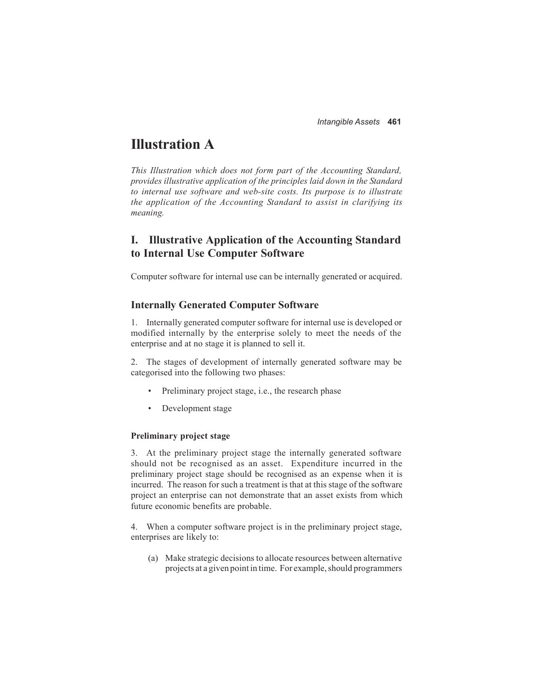# **Illustration A**

*This Illustration which does not form part of the Accounting Standard, provides illustrative application of the principles laid down in the Standard to internal use software and web-site costs. Its purpose is to illustrate the application of the Accounting Standard to assist in clarifying its meaning.*

### **I. Illustrative Application of the Accounting Standard to Internal Use Computer Software**

Computer software for internal use can be internally generated or acquired.

#### **Internally Generated Computer Software**

1. Internally generated computer software for internal use is developed or modified internally by the enterprise solely to meet the needs of the enterprise and at no stage it is planned to sell it.

2. The stages of development of internally generated software may be categorised into the following two phases:

- Preliminary project stage, i.e., the research phase
- Development stage

#### **Preliminary project stage**

3. At the preliminary project stage the internally generated software should not be recognised as an asset. Expenditure incurred in the preliminary project stage should be recognised as an expense when it is incurred. The reason for such a treatment is that at this stage of the software project an enterprise can not demonstrate that an asset exists from which future economic benefits are probable.

4. When a computer software project is in the preliminary project stage, enterprises are likely to:

(a) Make strategic decisions to allocate resources between alternative projects at a given point in time. For example, should programmers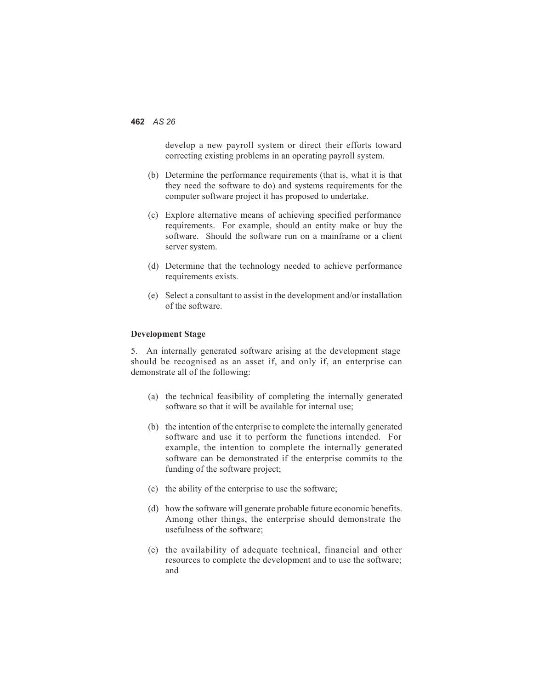develop a new payroll system or direct their efforts toward correcting existing problems in an operating payroll system.

- (b) Determine the performance requirements (that is, what it is that they need the software to do) and systems requirements for the computer software project it has proposed to undertake.
- (c) Explore alternative means of achieving specified performance requirements. For example, should an entity make or buy the software. Should the software run on a mainframe or a client server system.
- (d) Determine that the technology needed to achieve performance requirements exists.
- (e) Select a consultant to assist in the development and/or installation of the software.

#### **Development Stage**

5. An internally generated software arising at the development stage should be recognised as an asset if, and only if, an enterprise can demonstrate all of the following:

- (a) the technical feasibility of completing the internally generated software so that it will be available for internal use;
- (b) the intention of the enterprise to complete the internally generated software and use it to perform the functions intended. For example, the intention to complete the internally generated software can be demonstrated if the enterprise commits to the funding of the software project;
- (c) the ability of the enterprise to use the software;
- (d) how the software will generate probable future economic benefits. Among other things, the enterprise should demonstrate the usefulness of the software;
- (e) the availability of adequate technical, financial and other resources to complete the development and to use the software; and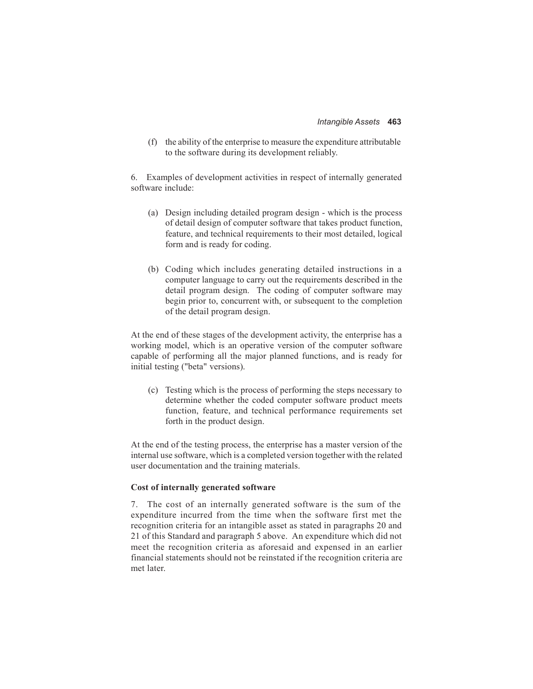(f) the ability of the enterprise to measure the expenditure attributable to the software during its development reliably.

6. Examples of development activities in respect of internally generated software include:

- (a) Design including detailed program design which is the process of detail design of computer software that takes product function, feature, and technical requirements to their most detailed, logical form and is ready for coding.
- (b) Coding which includes generating detailed instructions in a computer language to carry out the requirements described in the detail program design. The coding of computer software may begin prior to, concurrent with, or subsequent to the completion of the detail program design.

At the end of these stages of the development activity, the enterprise has a working model, which is an operative version of the computer software capable of performing all the major planned functions, and is ready for initial testing ("beta" versions).

(c) Testing which is the process of performing the steps necessary to determine whether the coded computer software product meets function, feature, and technical performance requirements set forth in the product design.

At the end of the testing process, the enterprise has a master version of the internal use software, which is a completed version together with the related user documentation and the training materials.

#### **Cost of internally generated software**

7. The cost of an internally generated software is the sum of the expenditure incurred from the time when the software first met the recognition criteria for an intangible asset as stated in paragraphs 20 and 21 of this Standard and paragraph 5 above. An expenditure which did not meet the recognition criteria as aforesaid and expensed in an earlier financial statements should not be reinstated if the recognition criteria are met later.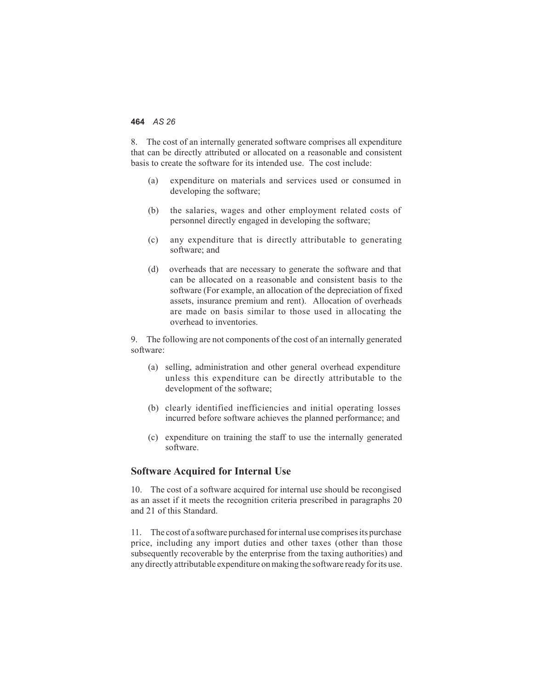8. The cost of an internally generated software comprises all expenditure that can be directly attributed or allocated on a reasonable and consistent basis to create the software for its intended use. The cost include:

- (a) expenditure on materials and services used or consumed in developing the software;
- (b) the salaries, wages and other employment related costs of personnel directly engaged in developing the software;
- (c) any expenditure that is directly attributable to generating software; and
- (d) overheads that are necessary to generate the software and that can be allocated on a reasonable and consistent basis to the software (For example, an allocation of the depreciation of fixed assets, insurance premium and rent). Allocation of overheads are made on basis similar to those used in allocating the overhead to inventories.

9. The following are not components of the cost of an internally generated software:

- (a) selling, administration and other general overhead expenditure unless this expenditure can be directly attributable to the development of the software;
- (b) clearly identified inefficiencies and initial operating losses incurred before software achieves the planned performance; and
- (c) expenditure on training the staff to use the internally generated software.

#### **Software Acquired for Internal Use**

10. The cost of a software acquired for internal use should be recongised as an asset if it meets the recognition criteria prescribed in paragraphs 20 and 21 of this Standard.

11. The cost of a software purchased forinternal use comprises its purchase price, including any import duties and other taxes (other than those subsequently recoverable by the enterprise from the taxing authorities) and any directly attributable expenditure on making the software ready for its use.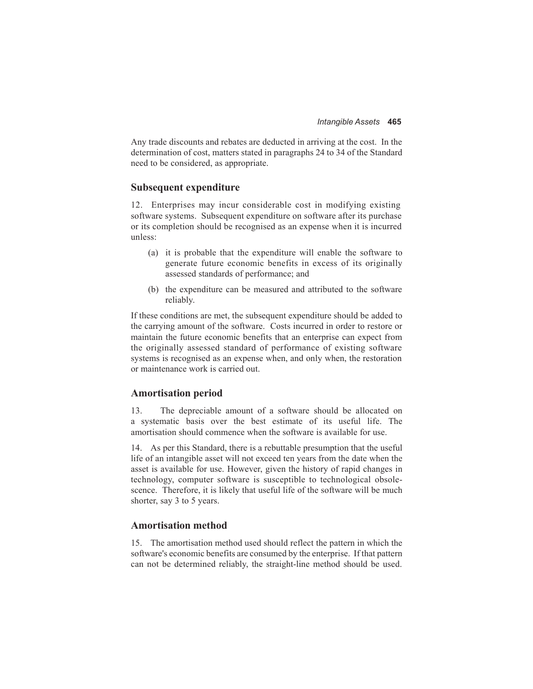Any trade discounts and rebates are deducted in arriving at the cost. In the determination of cost, matters stated in paragraphs 24 to 34 of the Standard need to be considered, as appropriate.

#### **Subsequent expenditure**

12. Enterprises may incur considerable cost in modifying existing software systems. Subsequent expenditure on software after its purchase or its completion should be recognised as an expense when it is incurred unless:

- (a) it is probable that the expenditure will enable the software to generate future economic benefits in excess of its originally assessed standards of performance; and
- (b) the expenditure can be measured and attributed to the software reliably.

If these conditions are met, the subsequent expenditure should be added to the carrying amount of the software. Costs incurred in order to restore or maintain the future economic benefits that an enterprise can expect from the originally assessed standard of performance of existing software systems is recognised as an expense when, and only when, the restoration or maintenance work is carried out.

#### **Amortisation period**

13. The depreciable amount of a software should be allocated on a systematic basis over the best estimate of its useful life. The amortisation should commence when the software is available for use.

14. As per this Standard, there is a rebuttable presumption that the useful life of an intangible asset will not exceed ten years from the date when the asset is available for use. However, given the history of rapid changes in technology, computer software is susceptible to technological obsolescence. Therefore, it is likely that useful life of the software will be much shorter, say 3 to 5 years.

#### **Amortisation method**

15. The amortisation method used should reflect the pattern in which the software's economic benefits are consumed by the enterprise. If that pattern can not be determined reliably, the straight-line method should be used.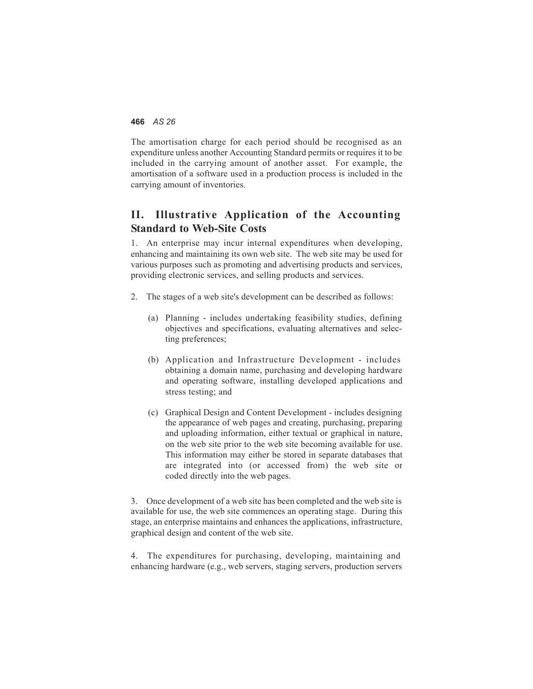The amortisation charge for each period should be recognised as an expenditure unless another Accounting Standard permits or requires it to be included in the carrying amount of another asset. For example, the amortisation of a software used in a production process is included in the carrying amount of inventories.

### **II. Illustrative Application of the Accounting Standard to Web-Site Costs**

1. An enterprise may incur internal expenditures when developing, enhancing and maintaining its own web site. The web site may be used for various purposes such as promoting and advertising products and services, providing electronic services, and selling products and services.

- 2. The stages of a web site's development can be described as follows:
	- (a) Planning includes undertaking feasibility studies, defining objectives and specifications, evaluating alternatives and selecting preferences;
	- (b) Application and Infrastructure Development includes obtaining a domain name, purchasing and developing hardware and operating software, installing developed applications and stress testing; and
	- (c) Graphical Design and Content Development includes designing the appearance of web pages and creating, purchasing, preparing and uploading information, either textual or graphical in nature, on the web site prior to the web site becoming available for use. This information may either be stored in separate databases that are integrated into (or accessed from) the web site or coded directly into the web pages.

3. Once development of a web site has been completed and the web site is available for use, the web site commences an operating stage. During this stage, an enterprise maintains and enhances the applications, infrastructure, graphical design and content of the web site.

4. The expenditures for purchasing, developing, maintaining and enhancing hardware (e.g., web servers, staging servers, production servers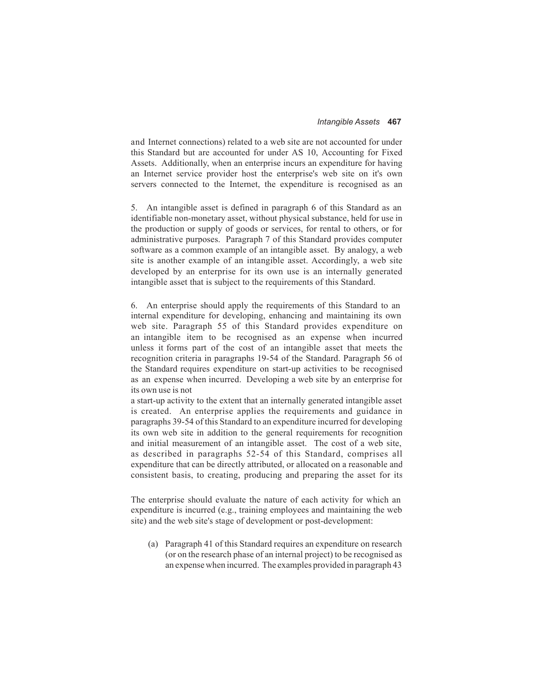and Internet connections) related to a web site are not accounted for under this Standard but are accounted for under AS 10, Accounting for Fixed Assets. Additionally, when an enterprise incurs an expenditure for having an Internet service provider host the enterprise's web site on it's own servers connected to the Internet, the expenditure is recognised as an

5. An intangible asset is defined in paragraph 6 of this Standard as an identifiable non-monetary asset, without physical substance, held for use in the production or supply of goods or services, for rental to others, or for administrative purposes. Paragraph 7 of this Standard provides computer software as a common example of an intangible asset. By analogy, a web site is another example of an intangible asset. Accordingly, a web site developed by an enterprise for its own use is an internally generated intangible asset that is subject to the requirements of this Standard.

6. An enterprise should apply the requirements of this Standard to an internal expenditure for developing, enhancing and maintaining its own web site. Paragraph 55 of this Standard provides expenditure on an intangible item to be recognised as an expense when incurred unless it forms part of the cost of an intangible asset that meets the recognition criteria in paragraphs 19-54 of the Standard. Paragraph 56 of the Standard requires expenditure on start-up activities to be recognised as an expense when incurred. Developing a web site by an enterprise for its own use is not

a start-up activity to the extent that an internally generated intangible asset is created. An enterprise applies the requirements and guidance in paragraphs 39-54 of this Standard to an expenditure incurred for developing its own web site in addition to the general requirements for recognition and initial measurement of an intangible asset. The cost of a web site, as described in paragraphs 52-54 of this Standard, comprises all expenditure that can be directly attributed, or allocated on a reasonable and consistent basis, to creating, producing and preparing the asset for its

The enterprise should evaluate the nature of each activity for which an expenditure is incurred (e.g., training employees and maintaining the web site) and the web site's stage of development or post-development:

(a) Paragraph 41 of this Standard requires an expenditure on research (or on the research phase of an internal project) to be recognised as an expense when incurred. The examples provided in paragraph 43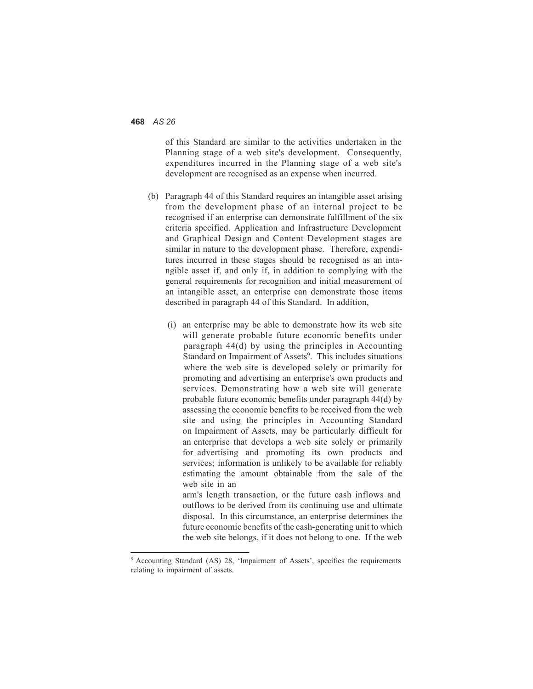of this Standard are similar to the activities undertaken in the Planning stage of a web site's development. Consequently, expenditures incurred in the Planning stage of a web site's development are recognised as an expense when incurred.

- (b) Paragraph 44 of this Standard requires an intangible asset arising from the development phase of an internal project to be recognised if an enterprise can demonstrate fulfillment of the six criteria specified. Application and Infrastructure Development and Graphical Design and Content Development stages are similar in nature to the development phase. Therefore, expenditures incurred in these stages should be recognised as an intangible asset if, and only if, in addition to complying with the general requirements for recognition and initial measurement of an intangible asset, an enterprise can demonstrate those items described in paragraph 44 of this Standard. In addition,
	- (i) an enterprise may be able to demonstrate how its web site will generate probable future economic benefits under paragraph 44(d) by using the principles in Accounting Standard on Impairment of Assets<sup>9</sup>. This includes situations where the web site is developed solely or primarily for promoting and advertising an enterprise's own products and services. Demonstrating how a web site will generate probable future economic benefits under paragraph 44(d) by assessing the economic benefits to be received from the web site and using the principles in Accounting Standard on Impairment of Assets, may be particularly difficult for an enterprise that develops a web site solely or primarily for advertising and promoting its own products and services; information is unlikely to be available for reliably estimating the amount obtainable from the sale of the web site in an

arm's length transaction, or the future cash inflows and outflows to be derived from its continuing use and ultimate disposal. In this circumstance, an enterprise determines the future economic benefits of the cash-generating unit to which the web site belongs, if it does not belong to one. If the web

<sup>9</sup> Accounting Standard (AS) 28, 'Impairment of Assets', specifies the requirements relating to impairment of assets.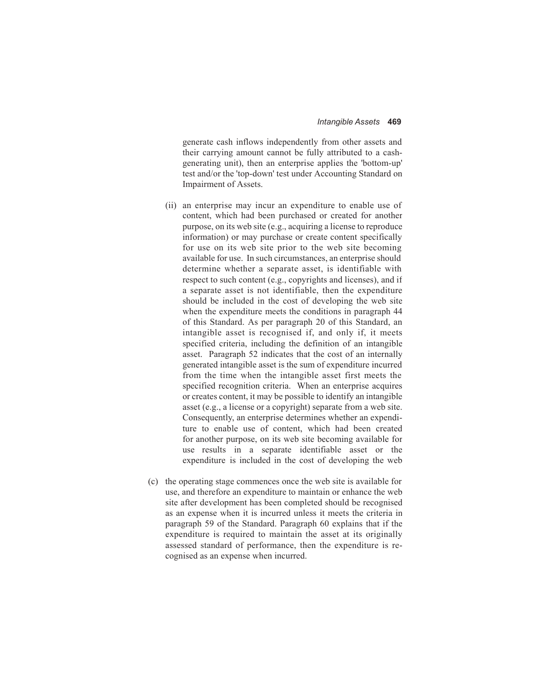generate cash inflows independently from other assets and their carrying amount cannot be fully attributed to a cashgenerating unit), then an enterprise applies the 'bottom-up' test and/or the 'top-down' test under Accounting Standard on Impairment of Assets.

- (ii) an enterprise may incur an expenditure to enable use of content, which had been purchased or created for another purpose, on its web site (e.g., acquiring a license to reproduce information) or may purchase or create content specifically for use on its web site prior to the web site becoming available for use. In such circumstances, an enterprise should determine whether a separate asset, is identifiable with respect to such content (e.g., copyrights and licenses), and if a separate asset is not identifiable, then the expenditure should be included in the cost of developing the web site when the expenditure meets the conditions in paragraph 44 of this Standard. As per paragraph 20 of this Standard, an intangible asset is recognised if, and only if, it meets specified criteria, including the definition of an intangible asset. Paragraph 52 indicates that the cost of an internally generated intangible asset is the sum of expenditure incurred from the time when the intangible asset first meets the specified recognition criteria. When an enterprise acquires or creates content, it may be possible to identify an intangible asset (e.g., a license or a copyright) separate from a web site. Consequently, an enterprise determines whether an expenditure to enable use of content, which had been created for another purpose, on its web site becoming available for use results in a separate identifiable asset or the expenditure is included in the cost of developing the web
- (c) the operating stage commences once the web site is available for use, and therefore an expenditure to maintain or enhance the web site after development has been completed should be recognised as an expense when it is incurred unless it meets the criteria in paragraph 59 of the Standard. Paragraph 60 explains that if the expenditure is required to maintain the asset at its originally assessed standard of performance, then the expenditure is recognised as an expense when incurred.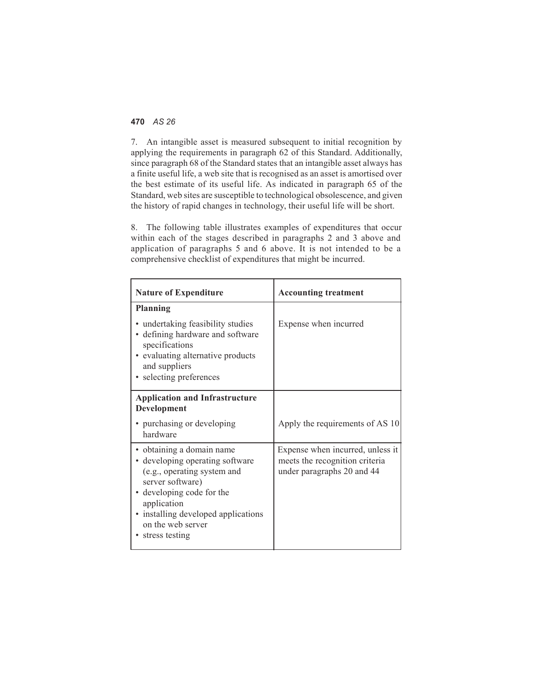7. An intangible asset is measured subsequent to initial recognition by applying the requirements in paragraph 62 of this Standard. Additionally, since paragraph 68 of the Standard states that an intangible asset always has a finite useful life, a web site that is recognised as an asset is amortised over the best estimate of its useful life. As indicated in paragraph 65 of the Standard, web sites are susceptible to technological obsolescence, and given the history of rapid changes in technology, their useful life will be short.

8. The following table illustrates examples of expenditures that occur within each of the stages described in paragraphs 2 and 3 above and application of paragraphs 5 and 6 above. It is not intended to be a comprehensive checklist of expenditures that might be incurred.

| <b>Nature of Expenditure</b>                                                                                                                                                                                                              | <b>Accounting treatment</b>                                                                      |
|-------------------------------------------------------------------------------------------------------------------------------------------------------------------------------------------------------------------------------------------|--------------------------------------------------------------------------------------------------|
| Planning<br>• undertaking feasibility studies<br>• defining hardware and software<br>specifications<br>• evaluating alternative products<br>and suppliers<br>• selecting preferences                                                      | Expense when incurred                                                                            |
| <b>Application and Infrastructure</b><br>Development<br>• purchasing or developing<br>hardware                                                                                                                                            | Apply the requirements of AS 10                                                                  |
| · obtaining a domain name<br>• developing operating software<br>(e.g., operating system and<br>server software)<br>developing code for the<br>application<br>• installing developed applications<br>on the web server<br>• stress testing | Expense when incurred, unless it<br>meets the recognition criteria<br>under paragraphs 20 and 44 |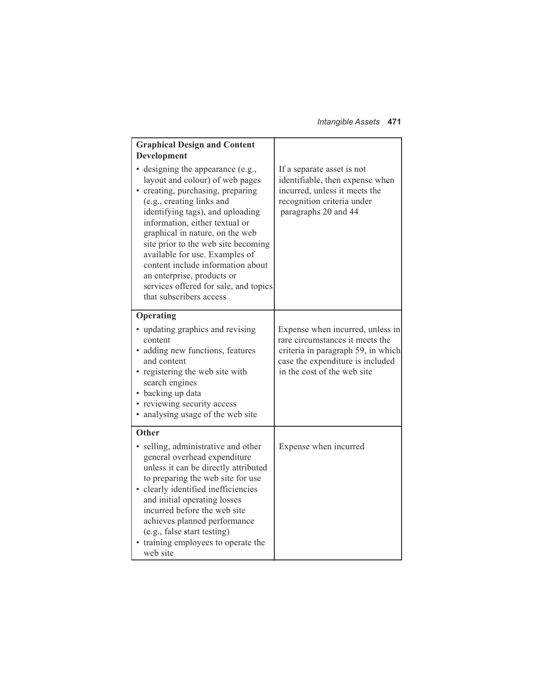*Intangible Assets* **471**

| <b>Graphical Design and Content</b><br>Development                                                                                                                                                                                                                                                                                                                                                                                                              |                                                                                                                                                                              |
|-----------------------------------------------------------------------------------------------------------------------------------------------------------------------------------------------------------------------------------------------------------------------------------------------------------------------------------------------------------------------------------------------------------------------------------------------------------------|------------------------------------------------------------------------------------------------------------------------------------------------------------------------------|
| • designing the appearance (e.g.,<br>layout and colour) of web pages<br>• creating, purchasing, preparing<br>(e.g., creating links and<br>identifying tags), and uploading<br>information, either textual or<br>graphical in nature, on the web<br>site prior to the web site becoming<br>available for use. Examples of<br>content include information about<br>an enterprise, products or<br>services offered for sale, and topics<br>that subscribers access | If a separate asset is not<br>identifiable, then expense when<br>incurred, unless it meets the<br>recognition criteria under<br>paragraphs 20 and 44                         |
| Operating<br>• updating graphics and revising<br>content<br>• adding new functions, features<br>and content<br>• registering the web site with<br>search engines<br>• backing up data<br>• reviewing security access<br>• analysing usage of the web site                                                                                                                                                                                                       | Expense when incurred, unless in<br>rare circumstances it meets the<br>criteria in paragraph 59, in which<br>case the expenditure is included<br>in the cost of the web site |
| Other<br>• selling, administrative and other<br>general overhead expenditure<br>unless it can be directly attributed<br>to preparing the web site for use<br>• clearly identified inefficiencies<br>and initial operating losses<br>incurred before the web site<br>achieves planned performance<br>(e.g., false start testing)<br>• training employees to operate the<br>web site                                                                              | Expense when incurred                                                                                                                                                        |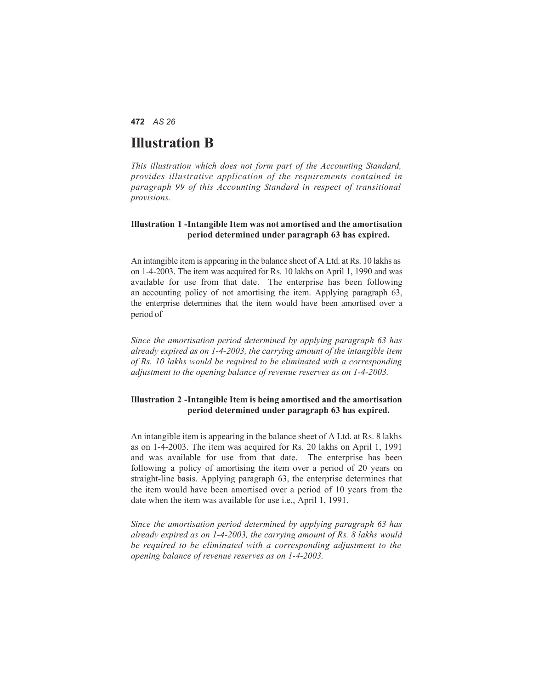# **Illustration B**

*This illustration which does not form part of the Accounting Standard, provides illustrative application of the requirements contained in paragraph 99 of this Accounting Standard in respect of transitional provisions.*

#### **Illustration 1 -Intangible Item was not amortised and the amortisation period determined under paragraph 63 has expired.**

An intangible item is appearing in the balance sheet of A Ltd. at Rs. 10 lakhs as on 1-4-2003. The item was acquired for Rs. 10 lakhs on April 1, 1990 and was available for use from that date. The enterprise has been following an accounting policy of not amortising the item. Applying paragraph 63, the enterprise determines that the item would have been amortised over a period of

*Since the amortisation period determined by applying paragraph 63 has already expired as on 1-4-2003, the carrying amount of the intangible item of Rs. 10 lakhs would be required to be eliminated with a corresponding adjustment to the opening balance of revenue reserves as on 1-4-2003.*

#### **Illustration 2 -Intangible Item is being amortised and the amortisation period determined under paragraph 63 has expired.**

An intangible item is appearing in the balance sheet of A Ltd. at Rs. 8 lakhs as on 1-4-2003. The item was acquired for Rs. 20 lakhs on April 1, 1991 and was available for use from that date. The enterprise has been following a policy of amortising the item over a period of 20 years on straight-line basis. Applying paragraph 63, the enterprise determines that the item would have been amortised over a period of 10 years from the date when the item was available for use i.e., April 1, 1991.

*Since the amortisation period determined by applying paragraph 63 has already expired as on 1-4-2003, the carrying amount of Rs. 8 lakhs would be required to be eliminated with a corresponding adjustment to the opening balance of revenue reserves as on 1-4-2003.*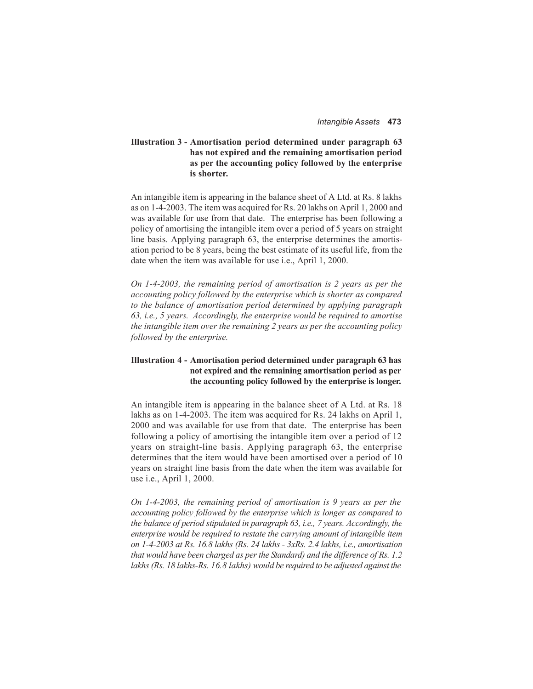#### **Illustration 3 - Amortisation period determined under paragraph 63 has not expired and the remaining amortisation period as per the accounting policy followed by the enterprise is shorter.**

An intangible item is appearing in the balance sheet of A Ltd. at Rs. 8 lakhs as on 1-4-2003. The item was acquired for Rs. 20 lakhs on April 1, 2000 and was available for use from that date. The enterprise has been following a policy of amortising the intangible item over a period of 5 years on straight line basis. Applying paragraph 63, the enterprise determines the amortisation period to be 8 years, being the best estimate of its useful life, from the date when the item was available for use i.e., April 1, 2000.

*On 1-4-2003, the remaining period of amortisation is 2 years as per the accounting policy followed by the enterprise which is shorter as compared to the balance of amortisation period determined by applying paragraph 63, i.e., 5 years. Accordingly, the enterprise would be required to amortise the intangible item over the remaining 2 years as per the accounting policy followed by the enterprise.*

#### **Illustration 4 - Amortisation period determined under paragraph 63 has not expired and the remaining amortisation period as per the accounting policy followed by the enterprise is longer.**

An intangible item is appearing in the balance sheet of A Ltd. at Rs. 18 lakhs as on 1-4-2003. The item was acquired for Rs. 24 lakhs on April 1, 2000 and was available for use from that date. The enterprise has been following a policy of amortising the intangible item over a period of 12 years on straight-line basis. Applying paragraph 63, the enterprise determines that the item would have been amortised over a period of 10 years on straight line basis from the date when the item was available for use i.e., April 1, 2000.

*On 1-4-2003, the remaining period of amortisation is 9 years as per the accounting policy followed by the enterprise which is longer as compared to the balance of period stipulated in paragraph 63, i.e., 7 years. Accordingly, the enterprise would be required to restate the carrying amount of intangible item on 1-4-2003 at Rs. 16.8 lakhs (Rs. 24 lakhs - 3xRs. 2.4 lakhs, i.e., amortisation that would have been charged as per the Standard) and the difference of Rs. 1.2 lakhs (Rs. 18 lakhs-Rs. 16.8 lakhs) would be required to be adjusted against the*